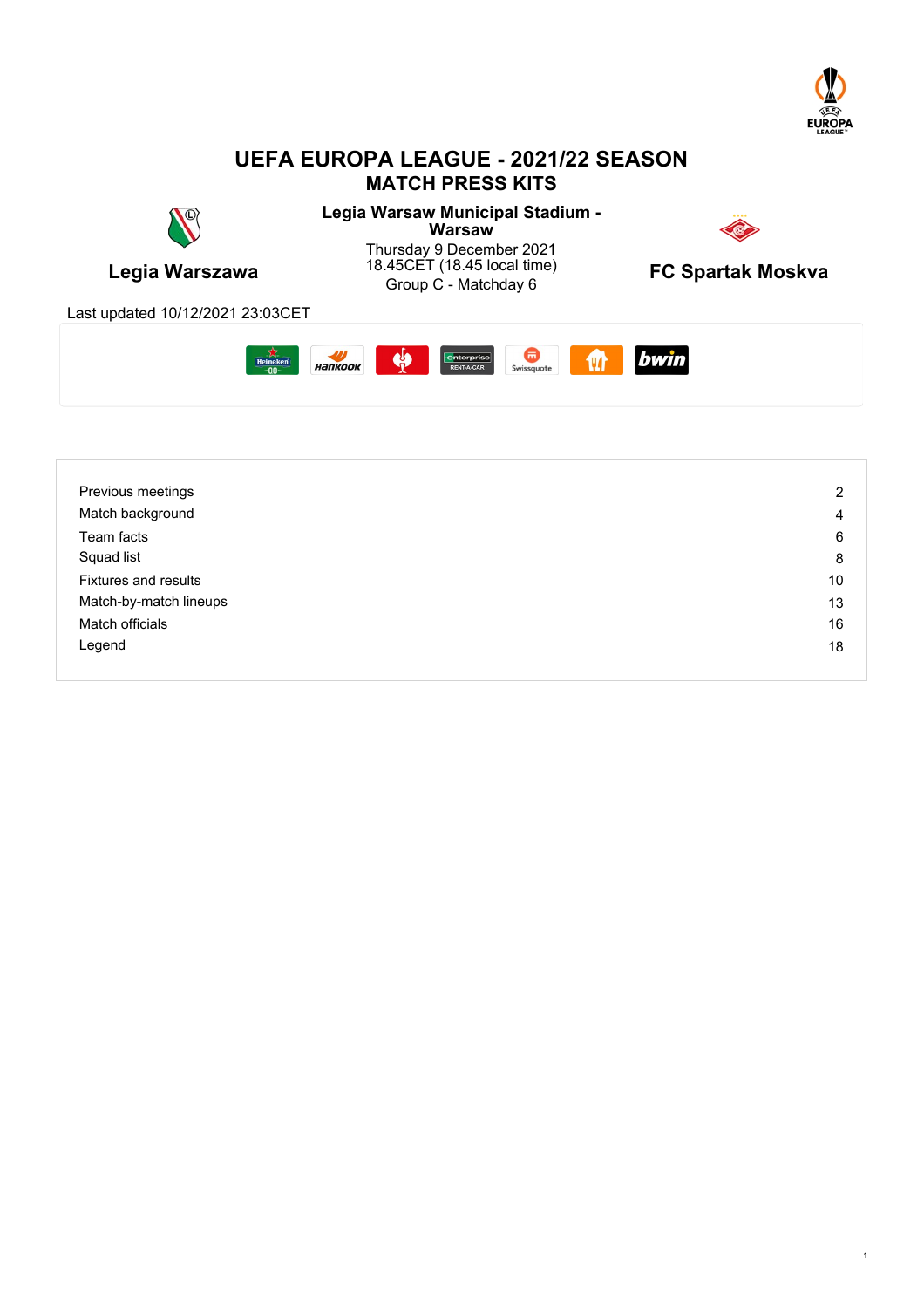

# **UEFA EUROPA LEAGUE - 2021/22 SEASON MATCH PRESS KITS**





| Previous meetings           | 2  |
|-----------------------------|----|
| Match background            | 4  |
| Team facts                  | 6  |
| Squad list                  | 8  |
| <b>Fixtures and results</b> | 10 |
| Match-by-match lineups      | 13 |
| Match officials             | 16 |
| Legend                      | 18 |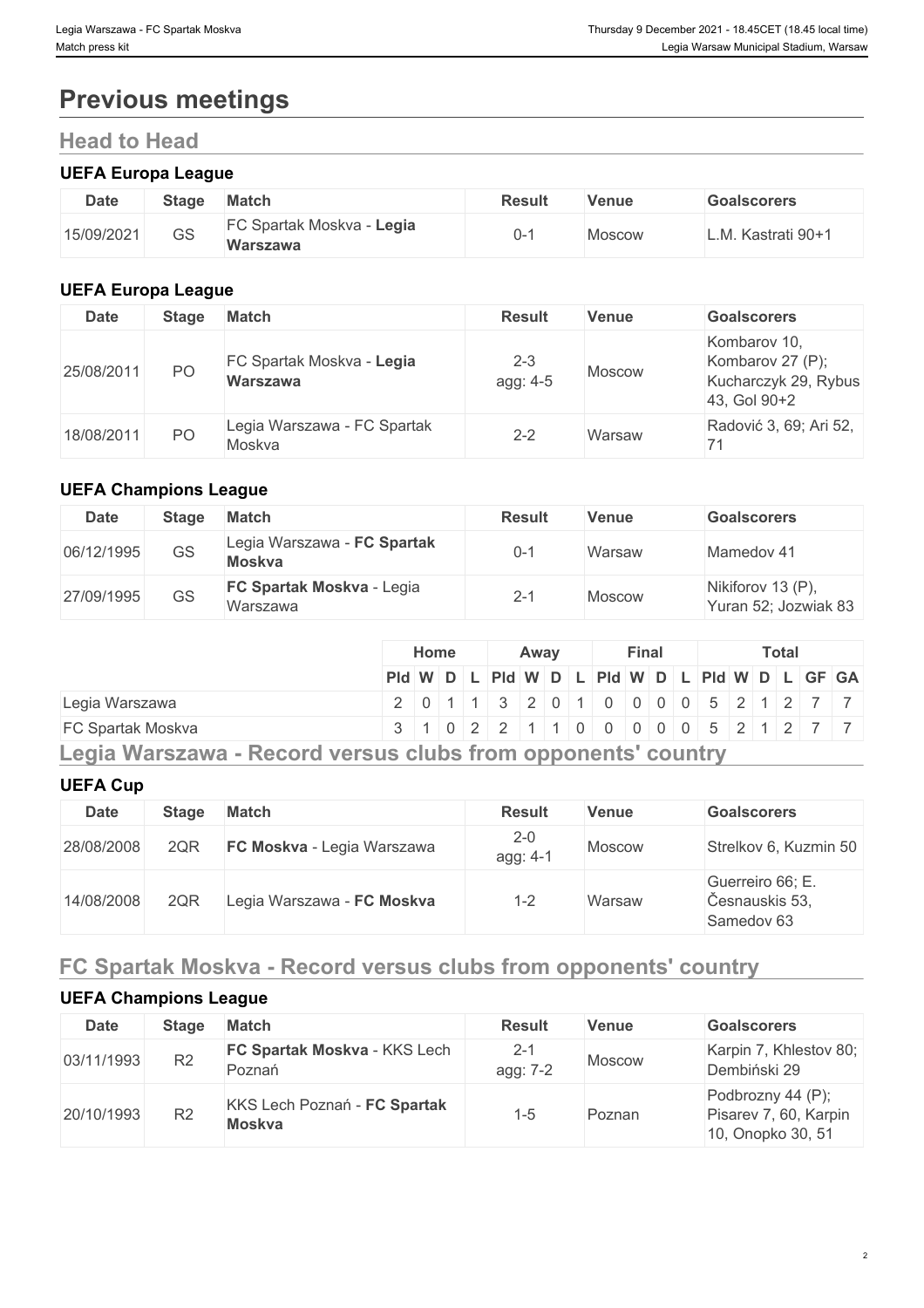# **Previous meetings**

# **Head to Head**

# **UEFA Europa League**

| <b>Date</b> | <b>Stage</b> | <b>Match</b>                          | Result | Venue  | Goalscorers   |
|-------------|--------------|---------------------------------------|--------|--------|---------------|
| 15/09/2021  | GS           | FC Spartak Moskva - Legia<br>Warszawa |        | Moscow | Kastrati 90+1 |

# **UEFA Europa League**

| <b>Date</b> | <b>Stage</b> | <b>Match</b>                                 | <b>Result</b>       | <b>Venue</b>  | <b>Goalscorers</b>                                                       |
|-------------|--------------|----------------------------------------------|---------------------|---------------|--------------------------------------------------------------------------|
| 25/08/2011  | PO           | FC Spartak Moskva - Legia<br><b>Warszawa</b> | $2 - 3$<br>agg: 4-5 | <b>Moscow</b> | Kombarov 10,<br>Kombarov 27 (P);<br>Kucharczyk 29, Rybus<br>43, Gol 90+2 |
| 18/08/2011  | PO.          | Legia Warszawa - FC Spartak<br>Moskva        | $2 - 2$             | Warsaw        | Radović 3, 69; Ari 52,                                                   |

# **UEFA Champions League**

| <b>Date</b> | <b>Stage</b> | <b>Match</b>                                 | <b>Result</b> | Venue         | <b>Goalscorers</b>                        |
|-------------|--------------|----------------------------------------------|---------------|---------------|-------------------------------------------|
| 06/12/1995  | GS           | Legia Warszawa - FC Spartak<br><b>Moskva</b> | $0 - 1$       | Warsaw        | Mamedov 41                                |
| 27/09/1995  | GS           | <b>FC Spartak Moskva - Legia</b><br>Warszawa | $2 - 1$       | <b>Moscow</b> | Nikiforov 13 (P),<br>Yuran 52; Jozwiak 83 |

|                                                              |                                               | Home |  | Awav |  | Final |  | <b>Total</b> |  |  |  |  |                                     |  |
|--------------------------------------------------------------|-----------------------------------------------|------|--|------|--|-------|--|--------------|--|--|--|--|-------------------------------------|--|
|                                                              | PId W D L PId W D L PId W D L PId W D L GF GA |      |  |      |  |       |  |              |  |  |  |  |                                     |  |
| Legia Warszawa                                               |                                               |      |  |      |  |       |  |              |  |  |  |  | 2 0 1 1 3 2 0 1 0 0 0 0 5 2 1 2 7 7 |  |
| <b>FC Spartak Moskva</b>                                     |                                               |      |  |      |  |       |  |              |  |  |  |  | 3 1 0 2 2 1 1 0 0 0 0 0 5 2 1 2 7 7 |  |
| Legia Warszawa - Record versus clubs from opponents' country |                                               |      |  |      |  |       |  |              |  |  |  |  |                                     |  |

# **UEFA Cup**

| <b>Date</b> | <b>Stage</b> | <b>Match</b>               | <b>Result</b>       | Venue         | <b>Goalscorers</b>                               |
|-------------|--------------|----------------------------|---------------------|---------------|--------------------------------------------------|
| 28/08/2008  | 2QR          | FC Moskva - Legia Warszawa | $2 - 0$<br>agg: 4-1 | <b>Moscow</b> | Strelkov 6, Kuzmin 50                            |
| 14/08/2008  | 2QR          | Legia Warszawa - FC Moskva | $1 - 2$             | Warsaw        | Guerreiro 66; E.<br>Česnauskis 53,<br>Samedov 63 |

# **FC Spartak Moskva - Record versus clubs from opponents' country**

# **UEFA Champions League**

| <b>Date</b> | <b>Stage</b>   | <b>Match</b>                                  | <b>Result</b>       | Venue         | <b>Goalscorers</b>                                              |
|-------------|----------------|-----------------------------------------------|---------------------|---------------|-----------------------------------------------------------------|
| 03/11/1993  | R <sub>2</sub> | FC Spartak Moskva - KKS Lech<br>Poznań        | $2 - 1$<br>agg: 7-2 | <b>Moscow</b> | Karpin 7, Khlestov 80;<br>Dembiński 29                          |
| 20/10/1993  | R2             | KKS Lech Poznań - FC Spartak<br><b>Moskva</b> | 1-5                 | Poznan        | Podbrozny 44 (P);<br>Pisarev 7, 60, Karpin<br>10, Onopko 30, 51 |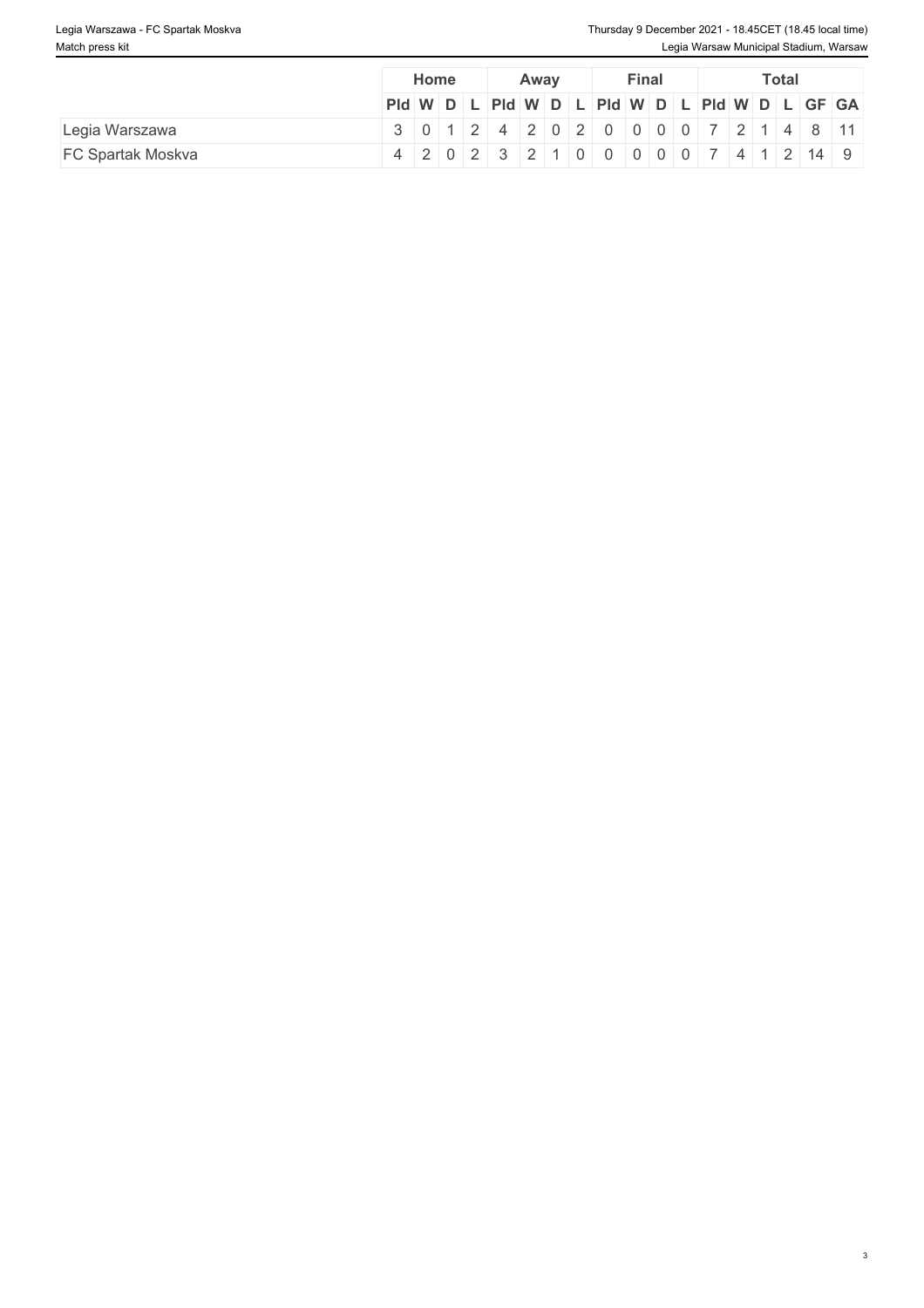|                          | Home                                                                                                   |  | Away |  | Final | Total |  |  |  |  |  |  |
|--------------------------|--------------------------------------------------------------------------------------------------------|--|------|--|-------|-------|--|--|--|--|--|--|
|                          | $PId \mid W \mid D \mid L \mid PId \mid W \mid D \mid L \mid PId \mid W \mid D \mid L \mid GF \mid GA$ |  |      |  |       |       |  |  |  |  |  |  |
| Legia Warszawa           | $3   0   1   2   4   2   0   2   0   0   0   0   7   2   1   4   8   11  $                             |  |      |  |       |       |  |  |  |  |  |  |
| <b>FC Spartak Moskva</b> | 4 2 0 2 3 2 1 0 0 0 0 0 7 4 1 2 14 9                                                                   |  |      |  |       |       |  |  |  |  |  |  |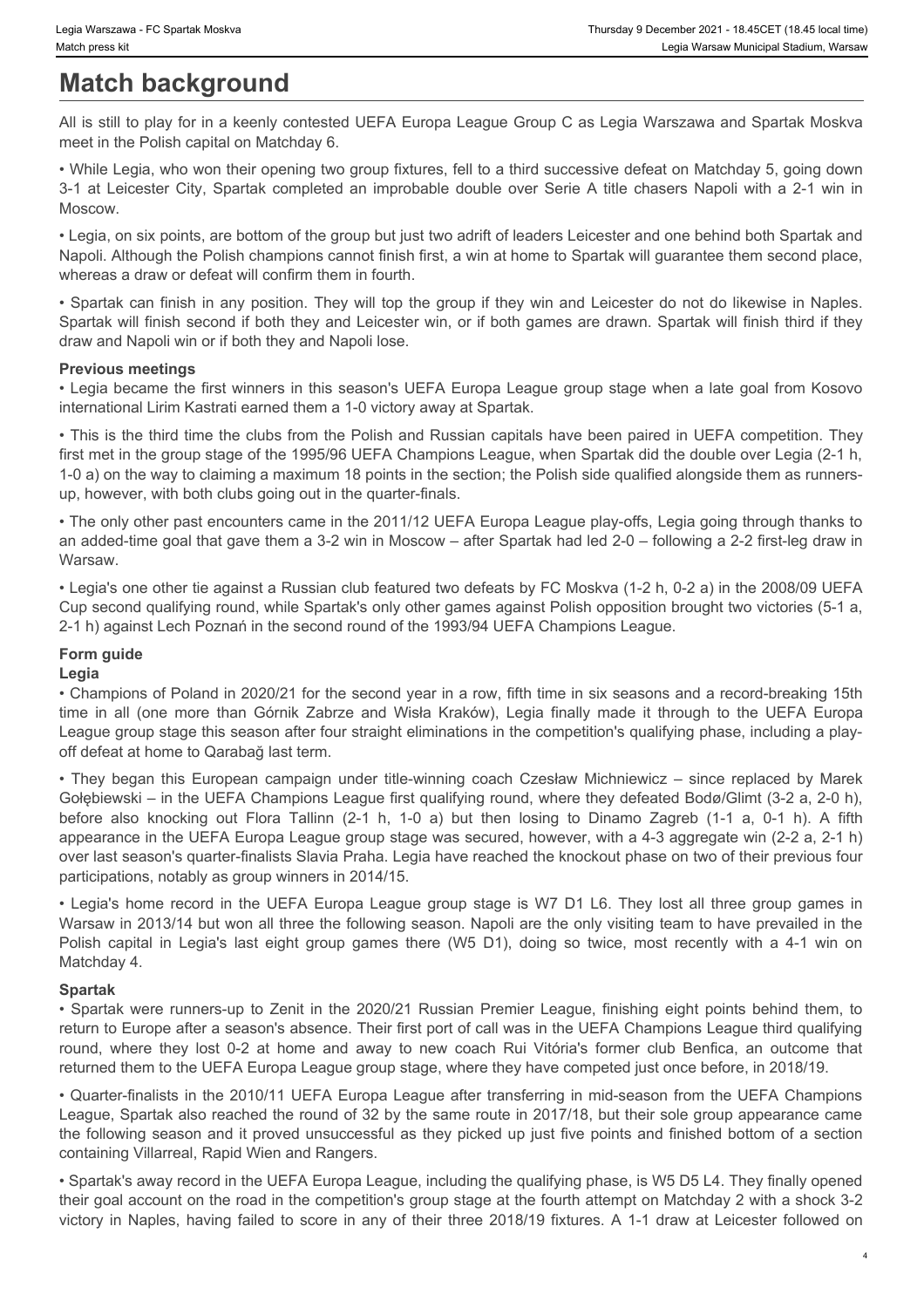# **Match background**

All is still to play for in a keenly contested UEFA Europa League Group C as Legia Warszawa and Spartak Moskva meet in the Polish capital on Matchday 6.

• While Legia, who won their opening two group fixtures, fell to a third successive defeat on Matchday 5, going down Moscow.

• Legia, on six points, are bottom of the group but just two adrift of leaders Leicester and one behind both Spartak and Napoli. Although the Polish champions cannot finish first, a win at home to Spartak will guarantee them second place, whereas a draw or defeat will confirm them in fourth.

Sigia Warszawa - FC Spartak Moskva<br>
3-Match background<br>
3-Match background<br>
All is still to play for in a keenly contested UEFA Europa League Group C as Legia Warszawa and Spartak Moskva<br>
2-1 at Leicester City, Spartak com • Spartak can finish in any position. They will top the group if they win and Leicester do not do likewise in Naples. Spartak will finish second if both they and Leicester win, or if both games are drawn. Spartak will finish third if they draw and Napoli win or if both they and Napoli lose.

# **Previous meetings**

• Legia became the first winners in this season's UEFA Europa League group stage when a late goal from Kosovo international Lirim Kastrati earned them a 1-0 victory away at Spartak.

• This is the third time the clubs from the Polish and Russian capitals have been paired in UEFA competition. They first met in the group stage of the 1995/96 UEFA Champions League, when Spartak did the double over Legia (2-1 h, 1-0 a) on the way to claiming a maximum 18 points in the section; the Polish side qualified alongside them as runnersup, however, with both clubs going out in the quarter-finals.

• The only other past encounters came in the 2011/12 UEFA Europa League play-offs, Legia going through thanks to an added-time goal that gave them a 3-2 win in Moscow – after Spartak had led 2-0 – following a 2-2 first-leg draw in Warsaw.

• Legia's one other tie against a Russian club featured two defeats by FC Moskva (1-2 h, 0-2 a) in the 2008/09 UEFA Cup second qualifying round, while Spartak's only other games against Polish opposition brought two victories (5-1 a, 2-1 h) against Lech Poznań in the second round of the 1993/94 UEFA Champions League.

### **Form guide**

#### **Legia**

• Champions of Poland in 2020/21 for the second year in a row, fifth time in six seasons and a record-breaking 15th League group stage this season after four straight eliminations in the competition's qualifying phase, including a playoff defeat at home to Qarabağ last term.

the water of teams the end of the more than Górnik Chemical Chemical Chemical Chemical Chemical Chemical Chemical Chemical Chemical Chemical Chemical Chemical Chemical Chemical Chemical Chemical Chemical Chemical Chemical • **Khow were the stand stand<br>
\* Supplement (1940) and the property content of the graphene coapital campaign under the standard coach Campaign under the Campaign under the Campaign under the Campaign under the Campaign und** Gołębiewski – in the UEFA Champions League first qualifying round, where they defeated Bodø/Glimt (3-2 a, 2-0 h), **Match background Match background**<br>
All is all to loy for in a keelly continued UEFA Europa League Group C as Lega Wascawa and Spartak Moskva<br>
meet in the Poisin capacho Matchcay, 6.<br>  $\sim$  Which Lega, who so that operat appearance in the UEFA Europa League group stage was secured, however, with a 4-3 aggregate win (2-2 a, 2-1 h) over last season's quarter-finalists Slavia Praha. Legia have reached the knockout phase on two of their previous four participations, notably as group winners in 2014/15. • Legia wito was through the group fitter with a first successive detail on Mattalay 5, pong down<br>• Vivia Legia's riby. Santat complete an important of double over Seine A tile or alser a way to the Changeli the Response i 31 all elected rate, Spanisk campleted an improbable duable over Serie A lille choses Napali with a 2.1 win in<br>Alegon, one ports are bottom of the group publish to b acid wiseder is looked to a chosen and one behind botto Napole Altonsear the Point of any protocol nation funish them is the proof they we in and Looston of the Spartak were running that in any protocol Theory and notice the Sparta Weil and the 2020-21 Russian Premier Can are f r- Spares can finite in any point of they will be o floor grows finey win and Leocester on cot do liewwere in Napie.<br>
Spectra can have been club away to the window to the security they are determined to the former they are

Warsaw in 2013/14 but won all three the following season. Napoli are the only visiting team to have prevailed in the Matchday 4.

#### **Spartak**

return to Europe after a season's absence. Their first port of call was in the UEFA Champions League third qualifying returned them to the UEFA Europa League group stage, where they have competed just once before, in 2018/19.

• Quarter-finalists in the 2010/11 UEFA Europa League after transferring in mid-season from the UEFA Champions League, Spartak also reached the round of 32 by the same route in 2017/18, but their sole group appearance came the following season and it proved unsuccessful as they picked up just five points and finished bottom of a section containing Villarreal, Rapid Wien and Rangers.

• Spartak's away record in the UEFA Europa League, including the qualifying phase, is W5 D5 L4. They finally opened their goal account on the road in the competition's group stage at the fourth attempt on Matchday 2 with a shock 3-2 victory in Naples, having failed to score in any of their three 2018/19 fixtures. A 1-1 draw at Leicester followed on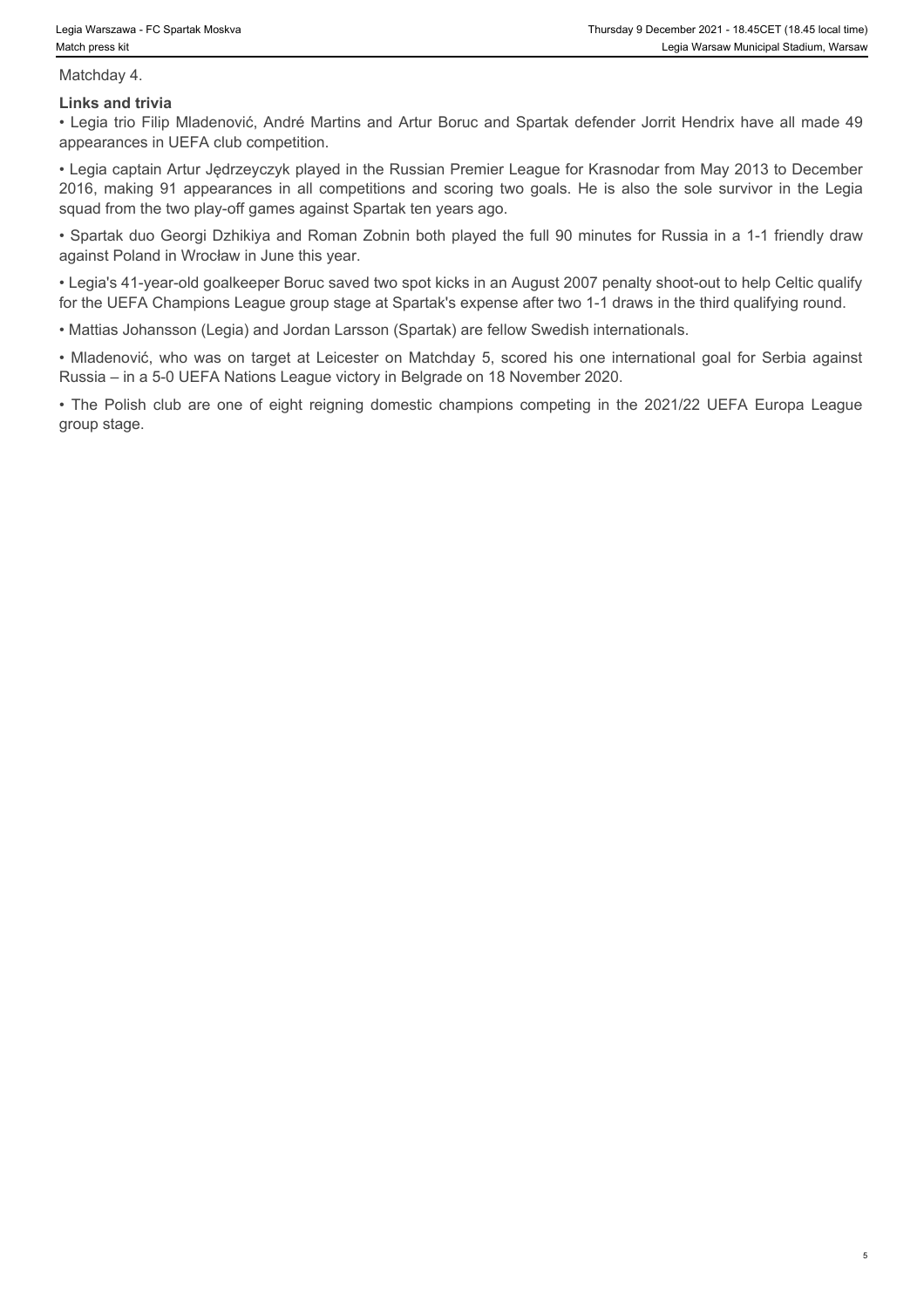Matchday 4.

#### **Links and trivia**

• Legia trio Filip Mladenović, André Martins and Artur Boruc and Spartak defender Jorrit Hendrix have all made 49 appearances in UEFA club competition.

• Legia captain Artur Jędrzeyczyk played in the Russian Premier League for Krasnodar from May 2013 to December 2018 Warszawa - FC Spartak Moskva<br>
2018 Warszawa - FC Spartak Moskva<br>
2018 trio Filip Mladenović, André Martins and Artur Boruc and Spartak defender Jornt Hendrix have all made 49<br>
2018 trio Filip Mladenović, André Martins squad from the two play-off games against Spartak ten years ago. • Matika Memorian FC Spartisk Meskwa Thursday 9 December 2021 - 18 45GET (ra45 local time)<br>
Matchday 4,<br>
Matchday 4,<br>
Links and trivia<br>
Links and trivia<br>
Links and trivia<br>
• Legia (to Filip Mladenović, André Matrins and Ar • Thursday 9 Docorrber 2021 · 18 46CF (18 46 local time)<br>• The Polish club are one of the Martims and Artur Boruc and Spartak defender Jornt Hendrix have all made 49<br>• Legis trio Filip Madenović, André Martins and Artur Bo

• Spartak duo Georgi Dzhikiya and Roman Zobnin both played the full 90 minutes for Russia in a 1-1 friendly draw against Poland in Wrocław in June this year.

• Legia's 41-year-old goalkeeper Boruc saved two spot kicks in an August 2007 penalty shoot-out to help Celtic qualify for the UEFA Champions League group stage at Spartak's expense after two 1-1 draws in the third qualifying round.

• Mattias Johansson (Legia) and Jordan Larsson (Spartak) are fellow Swedish internationals.

Russia – in a 5-0 UEFA Nations League victory in Belgrade on 18 November 2020.

group stage.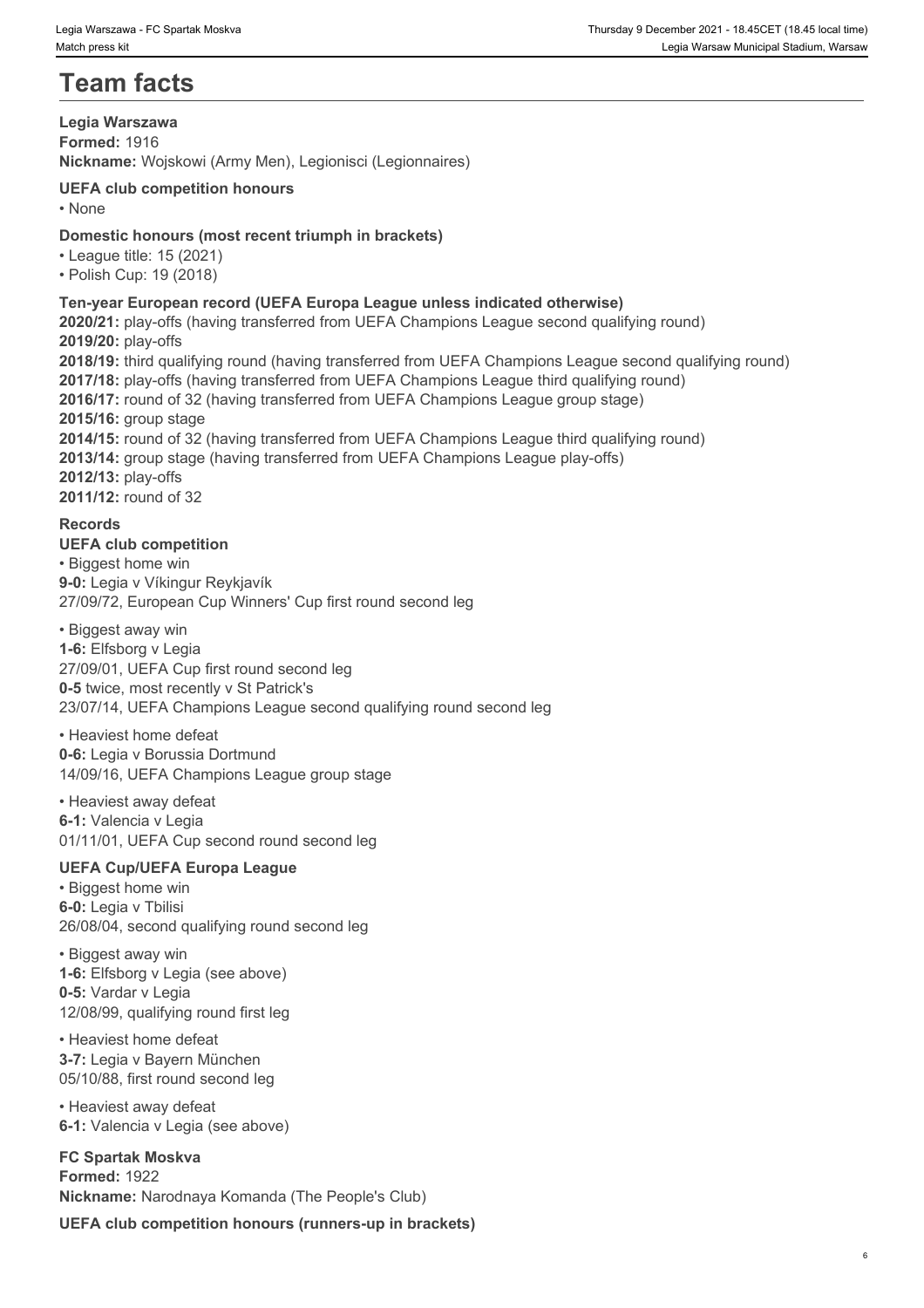# **Team facts**

#### **Legia Warszawa Formed:** 1916 **Nickname:** Wojskowi (Army Men), Legionisci (Legionnaires)

#### **UEFA club competition honours** • None **blue** and **blue** and **blue** and **blue** and **blue** and **blue** and **blue** and **blue** and **blue** and **blue** and **blue** and **blue** and **blue** and **blue** and **blue** and **blue** and **blue** and **blue** and **blue** and **blue**

# **Domestic honours (most recent triumph in brackets)**

• League title: 15 (2021)

• Polish Cup: 19 (2018)

# **Ten-year European record (UEFA Europa League unless indicated otherwise)**

**2020/21:** play-offs (having transferred from UEFA Champions League second qualifying round) **2019/20:** play-offs **2018/19:** third qualifying round (having transferred from UEFA Champions League second qualifying round) **2017/18:** play-offs (having transferred from UEFA Champions League third qualifying round) **2016/17:** round of 32 (having transferred from UEFA Champions League group stage) **2015/16:** group stage **2014/15:** round of 32 (having transferred from UEFA Champions League third qualifying round) **2013/14:** group stage (having transferred from UEFA Champions League play-offs) **2012/13:** play-offs **2011/12:** round of 32

# **Records**

**UEFA club competition** • Biggest home win **9-0:** Legia v Víkingur Reykjavík 27/09/72, European Cup Winners' Cup first round second leg

• Biggest away win **1-6:** Elfsborg v Legia 27/09/01, UEFA Cup first round second leg **0-5** twice, most recently v St Patrick's 23/07/14, UEFA Champions League second qualifying round second leg

#### • Heaviest home defeat

**0-6:** Legia v Borussia Dortmund 14/09/16, UEFA Champions League group stage

#### • Heaviest away defeat

**6-1:** Valencia v Legia 01/11/01, UEFA Cup second round second leg

# **UEFA Cup/UEFA Europa League**

• Biggest home win **6-0:** Legia v Tbilisi 26/08/04, second qualifying round second leg

• Biggest away win **1-6:** Elfsborg v Legia (see above) **0-5:** Vardar v Legia 12/08/99, qualifying round first leg

• Heaviest home defeat **3-7:** Legia v Bayern München 05/10/88, first round second leg

• Heaviest away defeat **6-1:** Valencia v Legia (see above)

**FC Spartak Moskva Formed:** 1922 **Nickname:** Narodnaya Komanda (The People's Club)

**UEFA club competition honours (runners-up in brackets)**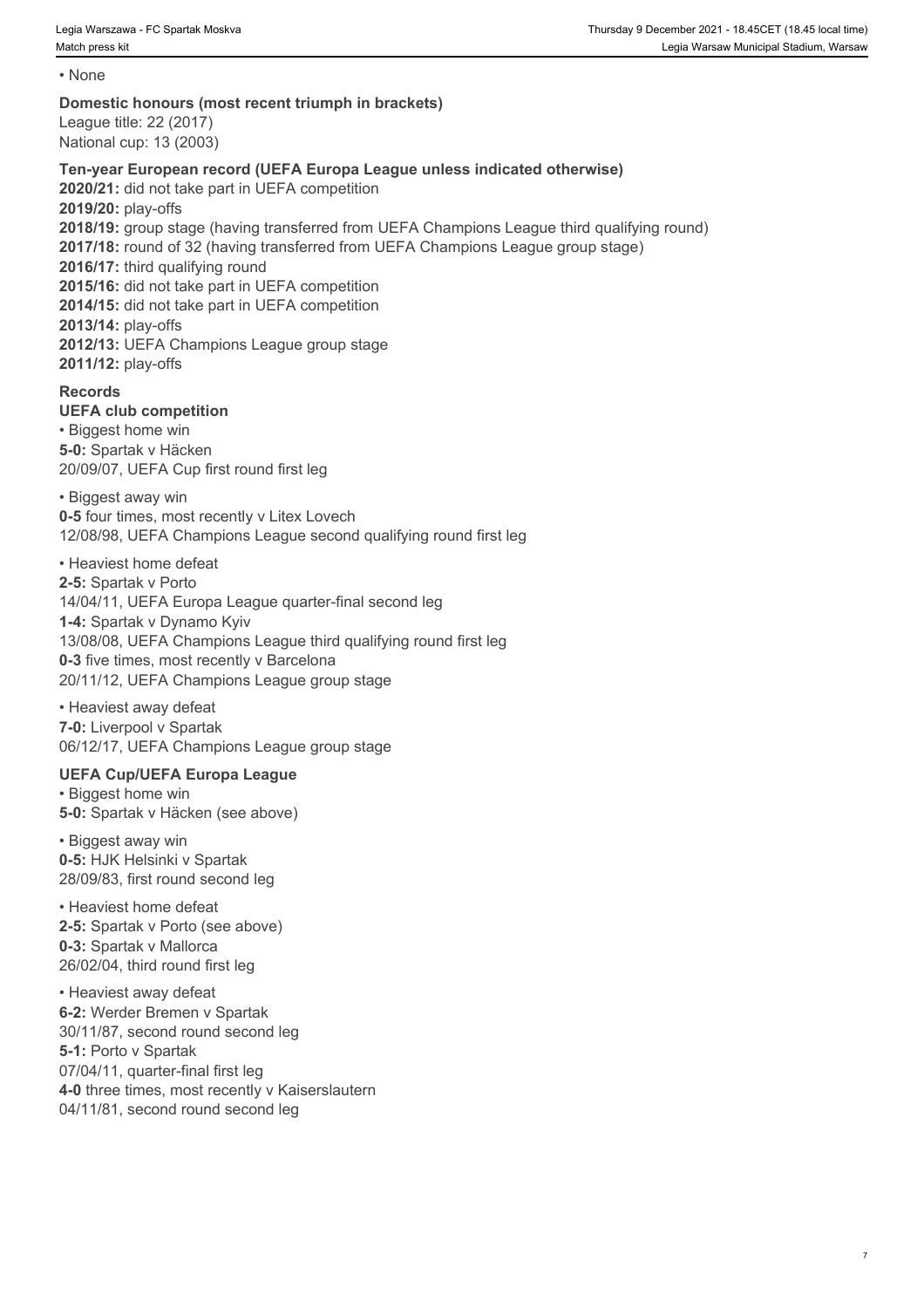• None **blue** and **blue** and **blue** and **blue** and **blue** and **blue** and **blue** and **blue** and **blue** and **blue** and **blue** and **blue** and **blue** and **blue** and **blue** and **blue** and **blue** and **blue** and **blue** and **blue** 

### **Domestic honours (most recent triumph in brackets)**

League title: 22 (2017) National cup: 13 (2003)

# **Ten-year European record (UEFA Europa League unless indicated otherwise)**

**2020/21:** did not take part in UEFA competition **2019/20:** play-offs **2018/19:** group stage (having transferred from UEFA Champions League third qualifying round) **2017/18:** round of 32 (having transferred from UEFA Champions League group stage) 2016/17: third qualifying round **2015/16:** did not take part in UEFA competition **2014/15:** did not take part in UEFA competition **2013/14:** play-offs **2012/13:** UEFA Champions League group stage **2011/12:** play-offs

# **Records**

# **UEFA club competition**

• Biggest home win **5-0:** Spartak v Häcken 20/09/07, UEFA Cup first round first leg

• Biggest away win **0-5** four times, most recently v Litex Lovech 12/08/98, UEFA Champions League second qualifying round first leg

• Heaviest home defeat **2-5:** Spartak v Porto 14/04/11, UEFA Europa League quarter-final second leg **1-4:** Spartak v Dynamo Kyiv 13/08/08, UEFA Champions League third qualifying round first leg **0-3** five times, most recently v Barcelona 20/11/12, UEFA Champions League group stage

• Heaviest away defeat **7-0:** Liverpool v Spartak 06/12/17, UEFA Champions League group stage

# **UEFA Cup/UEFA Europa League**

• Biggest home win **5-0:** Spartak v Häcken (see above)

• Biggest away win **0-5:** HJK Helsinki v Spartak 28/09/83, first round second leg

• Heaviest home defeat **2-5:** Spartak v Porto (see above) **0-3:** Spartak v Mallorca 26/02/04, third round first leg

• Heaviest away defeat **6-2:** Werder Bremen v Spartak 30/11/87, second round second leg **5-1:** Porto v Spartak 07/04/11, quarter-final first leg **4-0** three times, most recently v Kaiserslautern 04/11/81, second round second leg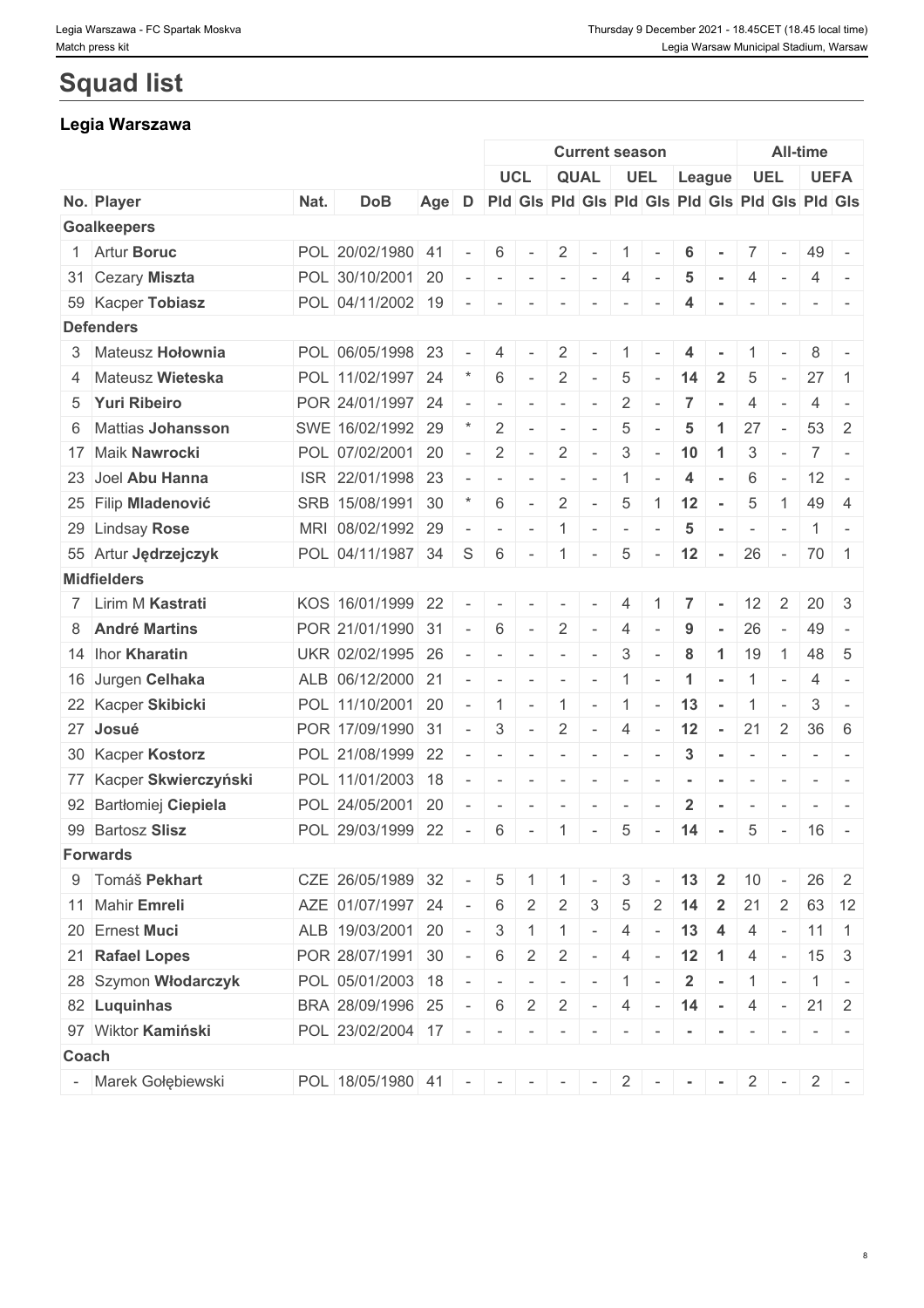# **Squad list**

# **Legia Warszawa**

|                         |      |                               |       |            |                 |                                         |                                                                                                                                         | <b>Current season</b>                                                                                                                                                                                                                                                                                                                                                                                                             |                                         |                          |                         | <b>All-time</b> |                          |                          |                                                 |                                                                                                                           |
|-------------------------|------|-------------------------------|-------|------------|-----------------|-----------------------------------------|-----------------------------------------------------------------------------------------------------------------------------------------|-----------------------------------------------------------------------------------------------------------------------------------------------------------------------------------------------------------------------------------------------------------------------------------------------------------------------------------------------------------------------------------------------------------------------------------|-----------------------------------------|--------------------------|-------------------------|-----------------|--------------------------|--------------------------|-------------------------------------------------|---------------------------------------------------------------------------------------------------------------------------|
|                         |      |                               |       |            |                 | <b>UCL</b>                              |                                                                                                                                         | <b>QUAL</b>                                                                                                                                                                                                                                                                                                                                                                                                                       |                                         | UEL                      |                         | League          |                          | <b>UEL</b>               |                                                 | <b>UEFA</b>                                                                                                               |
| No. Player              | Nat. | <b>DoB</b>                    | Age D |            |                 |                                         |                                                                                                                                         |                                                                                                                                                                                                                                                                                                                                                                                                                                   |                                         |                          |                         |                 |                          |                          | Pid Gis Pid Gis Pid Gis Pid Gis Pid Gis Pid Gis |                                                                                                                           |
| <b>Goalkeepers</b>      |      |                               |       |            |                 |                                         |                                                                                                                                         |                                                                                                                                                                                                                                                                                                                                                                                                                                   |                                         |                          |                         |                 |                          |                          |                                                 |                                                                                                                           |
| 1 Artur Boruc           |      | POL 20/02/1980 41             |       |            | 6               |                                         | $\overline{2}$                                                                                                                          | $\sim$                                                                                                                                                                                                                                                                                                                                                                                                                            | $\mathbf{1}$                            |                          | 6                       |                 |                          | $7 \vert -$              | 49 -                                            |                                                                                                                           |
| 31 Cezary Miszta        |      | POL 30/10/2001 20             |       | $\sim$     | $\sim$          |                                         |                                                                                                                                         | $-1$                                                                                                                                                                                                                                                                                                                                                                                                                              | 4                                       | $\sim$                   | $\sqrt{5}$              | $\sim$          | 4                        | $\sim$                   | 4                                               | $\sim$                                                                                                                    |
| 59 Kacper Tobiasz       |      | POL 04/11/2002 19 -           |       |            | $\sim$          | $\sim$                                  | $\overline{\phantom{a}}$                                                                                                                | $\overline{\phantom{a}}$                                                                                                                                                                                                                                                                                                                                                                                                          |                                         |                          |                         |                 | $\overline{\phantom{a}}$ | $\overline{\phantom{a}}$ |                                                 |                                                                                                                           |
| <b>Defenders</b>        |      |                               |       |            |                 |                                         |                                                                                                                                         |                                                                                                                                                                                                                                                                                                                                                                                                                                   |                                         |                          |                         |                 |                          |                          |                                                 |                                                                                                                           |
| 3 Mateusz Hołownia      |      | POL 06/05/1998 23             |       |            | 4               |                                         | $\overline{2}$                                                                                                                          | $\sim$                                                                                                                                                                                                                                                                                                                                                                                                                            |                                         |                          | 4                       |                 |                          |                          | 8                                               |                                                                                                                           |
| 4 Mateusz Wieteska      |      | POL 11/02/1997 24             |       |            | 6               | $\sim$                                  | 2                                                                                                                                       | $\sim$                                                                                                                                                                                                                                                                                                                                                                                                                            | 5                                       |                          | 14                      | $\overline{2}$  | 5                        |                          | 27                                              | $\overline{1}$                                                                                                            |
| 5 Yuri Ribeiro          |      | POR 24/01/1997 24             |       | $\sim$     | $\sim$          | $\overline{\phantom{a}}$                | $\sim$                                                                                                                                  | $\sim$                                                                                                                                                                                                                                                                                                                                                                                                                            | $\overline{2}$                          | $\sim$                   | 7                       |                 |                          |                          | 4                                               |                                                                                                                           |
| 6 Mattias Johansson     |      | SWE 16/02/1992 29             |       |            | $\overline{2}$  |                                         | $\sim$                                                                                                                                  | $\sim$                                                                                                                                                                                                                                                                                                                                                                                                                            | $\overline{5}$                          |                          | 5                       | -1              | 27                       | $\sim$                   | 53 <sup>1</sup>                                 | -2                                                                                                                        |
| 17 Maik Nawrocki        |      | POL 07/02/2001 20             |       | $\sim$     | 2               | $\overline{\phantom{a}}$                | $\overline{2}$                                                                                                                          | $\sim$                                                                                                                                                                                                                                                                                                                                                                                                                            | $\mathbf{3}$                            | $\sim$                   | 10                      | $\overline{1}$  | 3                        | $\overline{\phantom{a}}$ | 7 <sup>1</sup>                                  | $\sim$                                                                                                                    |
| 23 Joel Abu Hanna       |      | ISR 22/01/1998 23             |       | $\sim$     | $\sim$          |                                         | $\sim$                                                                                                                                  | $\sim$                                                                                                                                                                                                                                                                                                                                                                                                                            | $\mathbf{1}$                            |                          | $\overline{4}$          |                 | 6                        | $\overline{\phantom{a}}$ | $12 -$                                          |                                                                                                                           |
| 25 Filip Mladenović     |      | SRB 15/08/1991 30             |       |            | 6               |                                         | 2                                                                                                                                       | $\sim$                                                                                                                                                                                                                                                                                                                                                                                                                            | $5\overline{)}$                         | $\overline{1}$           | 12                      | $\sim$          | 5                        | $\overline{1}$           | 49 4                                            |                                                                                                                           |
| 29 Lindsay Rose         |      | MRI 08/02/1992 29             |       | $\sim$     | $\sim$          | $\sim$                                  | 1                                                                                                                                       |                                                                                                                                                                                                                                                                                                                                                                                                                                   | $\mathcal{A}=\mathcal{A}=\mathcal{A}$ . | $\sim$                   | $\overline{\mathbf{5}}$ | $\sim$          | $\sim$                   | $\sim$                   |                                                 | $1 -$                                                                                                                     |
| 55 Artur Jędrzejczyk    |      | POL 04/11/1987 34 S           |       |            | 6               | $\sim$                                  | $\overline{1}$                                                                                                                          | $\sim$                                                                                                                                                                                                                                                                                                                                                                                                                            | 5                                       | $\sim$                   | $12 -$                  |                 |                          |                          | $26 - 70$ 1                                     |                                                                                                                           |
| <b>Midfielders</b>      |      |                               |       |            |                 |                                         |                                                                                                                                         |                                                                                                                                                                                                                                                                                                                                                                                                                                   |                                         |                          |                         |                 |                          |                          |                                                 |                                                                                                                           |
| 7 Lirim M Kastrati      |      | KOS 16/01/1999 22             |       | $\sim$ $-$ |                 | $\mathcal{A}=\mathcal{A}=\mathcal{A}$ . | $\gamma = -1$                                                                                                                           | $\sim$                                                                                                                                                                                                                                                                                                                                                                                                                            | 4                                       |                          | 7                       |                 |                          | $12 \mid 2$              | $20 \mid 3$                                     |                                                                                                                           |
| 8 André Martins         |      | POR 21/01/1990 31             |       | $\sim$     | 6               | $\sim$                                  | 2                                                                                                                                       | $\sim$                                                                                                                                                                                                                                                                                                                                                                                                                            | 4                                       | $\sim$                   | 9                       |                 | 26                       | $\sim$                   | 49 -                                            |                                                                                                                           |
| 14 Ihor Kharatin        |      | UKR 02/02/1995 26             |       | $\sim$     | $\sim$          | $\sim$                                  | $\sim$                                                                                                                                  | $\sim$                                                                                                                                                                                                                                                                                                                                                                                                                            | 3                                       | $\sim$                   | 8                       | -1              | 19                       | $\overline{1}$           | 48                                              | - 5                                                                                                                       |
| 16 Jurgen Celhaka       |      | ALB 06/12/2000 21             |       | $\sim$     | $\sim$          | $\sim$                                  | $\label{eq:1} \mathcal{L}(\mathcal{L}^{\mathcal{L}}) = \mathcal{L}(\mathcal{L}^{\mathcal{L}}) = \mathcal{L}(\mathcal{L}^{\mathcal{L}})$ |                                                                                                                                                                                                                                                                                                                                                                                                                                   | $\vert 1 \vert$                         | $\overline{\phantom{a}}$ | $\blacktriangleleft$    | $\sim$          | 1                        | $\sim$                   | 4                                               | $\sim$                                                                                                                    |
| 22 Kacper Skibicki      |      | POL 11/10/2001 20             |       | $\sim$     | $\overline{1}$  | $\sim$                                  | 1                                                                                                                                       |                                                                                                                                                                                                                                                                                                                                                                                                                                   | $-1$                                    |                          | $-13 -$                 |                 |                          | $1$ -                    | 3                                               | $\sim$                                                                                                                    |
| 27 Josué                |      | POR 17/09/1990 31             |       | $\sim$     | 3               | $\sim$                                  | $\overline{2}$                                                                                                                          | $\sim$                                                                                                                                                                                                                                                                                                                                                                                                                            | 4                                       | $\sim$                   | 12                      | $\sim$ $-$      | 21                       | $\overline{2}$           | $36 \mid 6$                                     |                                                                                                                           |
| 30 Kacper Kostorz       |      | POL 21/08/1999 22             |       | $\sim$     | $\sim$          | $\sim$                                  |                                                                                                                                         | $\label{eq:2.1} \begin{array}{cccccccccc} \mathbf{a} & \mathbf{b} & \mathbf{c} & \mathbf{c} & \mathbf{c} & \mathbf{c} & \mathbf{c} & \mathbf{c} & \mathbf{c} & \mathbf{c} & \mathbf{c} & \mathbf{c} & \mathbf{c} & \mathbf{c} & \mathbf{c} & \mathbf{c} & \mathbf{c} & \mathbf{c} & \mathbf{c} & \mathbf{c} & \mathbf{c} & \mathbf{c} & \mathbf{c} & \mathbf{c} & \mathbf{c} & \mathbf{c} & \mathbf{c} & \mathbf{c} & \mathbf{c}$ |                                         | $\overline{\phantom{a}}$ | $\mathbf{3}$            | $\sim$ $ \sim$  | $\sim$                   | $\sim$                   |                                                 | $\mathcal{L} = \{ \mathcal{L} \mid \mathcal{L} = \mathcal{L} \}$                                                          |
| 77 Kacper Skwierczyński |      | POL 11/01/2003 18             |       | $\sim$     | $\sim$          | $\overline{\phantom{a}}$                | $\sim$                                                                                                                                  | $\sim$                                                                                                                                                                                                                                                                                                                                                                                                                            | $\sim$                                  | $\sim$                   |                         | $\sim$          | $\sim$                   | $\sim$                   |                                                 |                                                                                                                           |
| 92 Bartłomiej Ciepiela  |      | POL 24/05/2001                | 20    | $\sim$     | $\sim$          |                                         | $\overline{\phantom{a}}$                                                                                                                | $\sim$                                                                                                                                                                                                                                                                                                                                                                                                                            |                                         |                          | $\overline{\mathbf{2}}$ |                 |                          |                          |                                                 | $-1 - -$                                                                                                                  |
| 99 Bartosz Slisz        |      | POL 29/03/1999 22             |       | $\sim$     | 6               | $\sim$                                  | $\overline{1}$                                                                                                                          | $\sim$                                                                                                                                                                                                                                                                                                                                                                                                                            | $5\overline{)}$                         | $\sim$                   | 14                      | $\sim$          | $5\overline{)}$          | $\sim$                   | 16                                              | $\sim$                                                                                                                    |
| <b>Forwards</b>         |      |                               |       |            |                 |                                         |                                                                                                                                         |                                                                                                                                                                                                                                                                                                                                                                                                                                   |                                         |                          |                         |                 |                          |                          |                                                 |                                                                                                                           |
| 9 Tomáš Pekhart         |      | CZE 26/05/1989 32             |       | $\sim$     | $5\overline{)}$ | -1                                      | -1                                                                                                                                      | $\sim$                                                                                                                                                                                                                                                                                                                                                                                                                            | 3                                       |                          | 13                      | $\overline{2}$  | 10                       |                          |                                                 | $26 \quad 2$                                                                                                              |
| 11 Mahir Emreli         |      | AZE 01/07/1997 24 -           |       |            | 6               | 2                                       | 2                                                                                                                                       | 3                                                                                                                                                                                                                                                                                                                                                                                                                                 | 5                                       | 2                        |                         |                 | 21                       | $\overline{2}$           |                                                 | 63 12                                                                                                                     |
| 20 Ernest Muci          |      | ALB 19/03/2001 20 -           |       |            | 3               |                                         | $\overline{1}$                                                                                                                          | $\overline{\phantom{a}}$                                                                                                                                                                                                                                                                                                                                                                                                          | 4                                       |                          | 13                      | 4               | 4                        | $\overline{\phantom{a}}$ | $11 \quad 1$                                    |                                                                                                                           |
| 21 Rafael Lopes         |      | POR 28/07/1991 30             |       | $\sim$ $-$ | 6               | $\overline{2}$                          | 2                                                                                                                                       | $\sim$                                                                                                                                                                                                                                                                                                                                                                                                                            | $\overline{4}$                          |                          | $-12$ 1                 |                 | 4                        | $\sim$ 100 $\pm$         | $15 \mid 3$                                     |                                                                                                                           |
| 28 Szymon Włodarczyk    |      | POL 05/01/2003 18             |       | $\sim$ $-$ | $\sim$          |                                         | $\sim$                                                                                                                                  | $\sim$                                                                                                                                                                                                                                                                                                                                                                                                                            |                                         |                          | $\overline{2}$          | $\sim$          |                          |                          |                                                 |                                                                                                                           |
| 82 Luquinhas            |      | BRA 28/09/1996 25             |       | $\sim$ $-$ | 6               | $\overline{2}$                          | $\overline{2}$                                                                                                                          | $\sim$                                                                                                                                                                                                                                                                                                                                                                                                                            | 4                                       | $\sim$                   | 14                      | $\sim$ $-$      | 4                        | $\sim$                   | $21 \quad 2$                                    |                                                                                                                           |
| 97 Wiktor Kamiński      |      | POL 23/02/2004 17 -           |       |            | $\sim$          | $\sim$                                  | $\sim$                                                                                                                                  | $\sim$                                                                                                                                                                                                                                                                                                                                                                                                                            | $\sim$                                  |                          |                         |                 |                          |                          |                                                 | $\frac{1}{2} \left( \frac{1}{2} \right) \left( \frac{1}{2} \right) \left( \frac{1}{2} \right) \left( \frac{1}{2} \right)$ |
| <b>Coach</b>            |      |                               |       |            |                 |                                         |                                                                                                                                         |                                                                                                                                                                                                                                                                                                                                                                                                                                   |                                         |                          |                         |                 |                          |                          |                                                 |                                                                                                                           |
| Marek Gołębiewski       |      | POL 18/05/1980 41 - - - - - - |       |            |                 |                                         |                                                                                                                                         |                                                                                                                                                                                                                                                                                                                                                                                                                                   |                                         |                          | $2 - - - -$             |                 |                          | $2$ -                    |                                                 | $2$ -                                                                                                                     |
|                         |      |                               |       |            |                 |                                         |                                                                                                                                         |                                                                                                                                                                                                                                                                                                                                                                                                                                   |                                         |                          |                         |                 |                          |                          |                                                 |                                                                                                                           |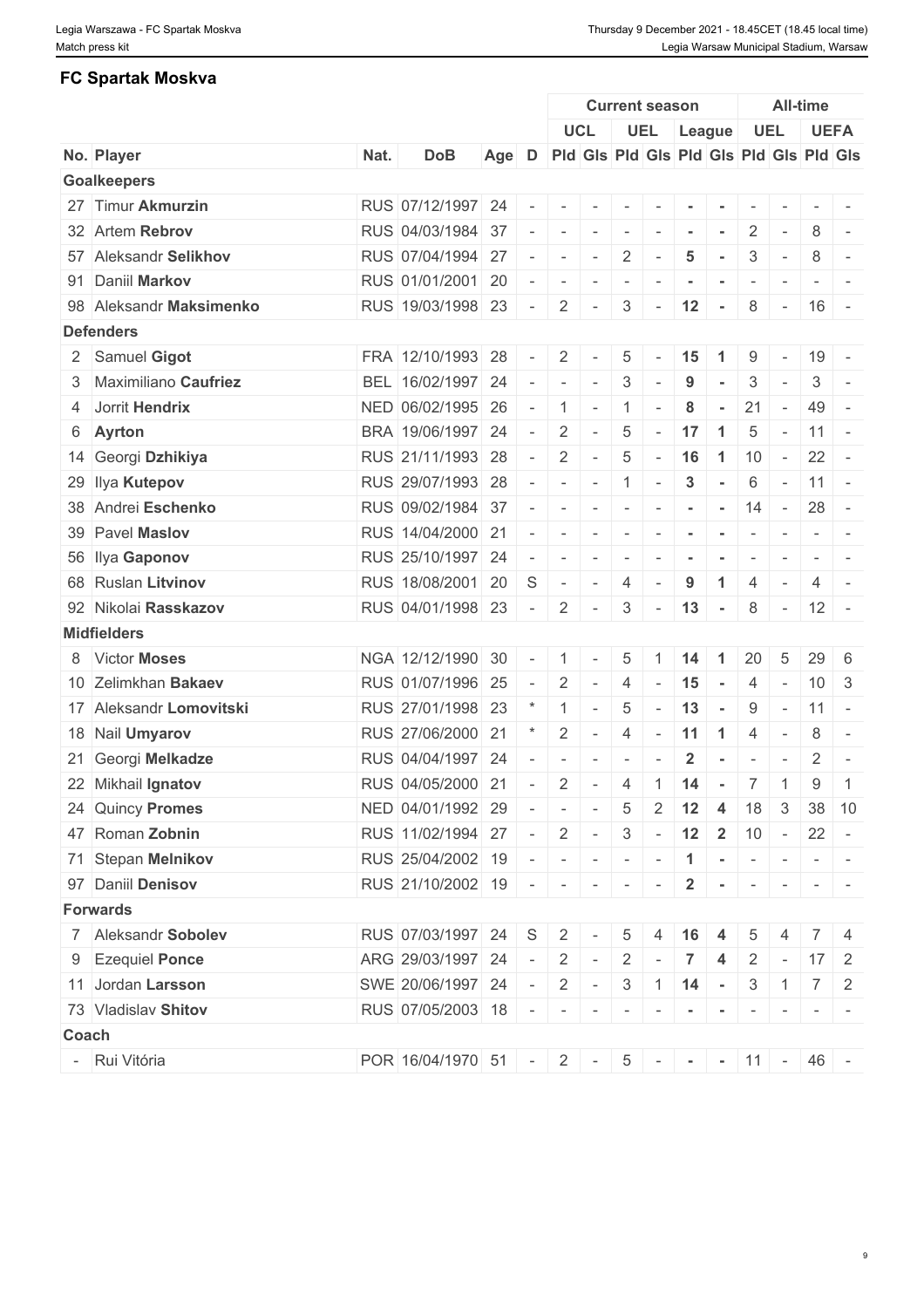# **FC Spartak Moskva**

|       |                         |      |                           |     |                          | <b>Current season</b>    |                          |                 |                          |                           |                      |                          | <b>All-time</b>          |                 |                                                                                                                           |  |  |
|-------|-------------------------|------|---------------------------|-----|--------------------------|--------------------------|--------------------------|-----------------|--------------------------|---------------------------|----------------------|--------------------------|--------------------------|-----------------|---------------------------------------------------------------------------------------------------------------------------|--|--|
|       |                         |      |                           |     |                          |                          | <b>UCL</b>               |                 |                          | UEL League                |                      |                          | <b>UEL</b>               |                 | <b>UEFA</b>                                                                                                               |  |  |
|       | No. Player              | Nat. | <b>DoB</b>                | Age | D                        |                          |                          |                 |                          |                           |                      |                          |                          |                 | Pid Gis Pid Gis Pid Gis Pid Gis Pid Gis                                                                                   |  |  |
|       | <b>Goalkeepers</b>      |      |                           |     |                          |                          |                          |                 |                          |                           |                      |                          |                          |                 |                                                                                                                           |  |  |
|       | 27 Timur Akmurzin       |      | RUS 07/12/1997 24         |     |                          | $\sim$                   | $\overline{\phantom{a}}$ |                 |                          |                           |                      |                          |                          |                 |                                                                                                                           |  |  |
|       | 32 Artem Rebrov         |      | RUS 04/03/1984 37         |     |                          | $\overline{\phantom{a}}$ | $\overline{\phantom{a}}$ | $\sim$          | $\sim$                   | $\sim$                    |                      | $\overline{2}$           | $\overline{\phantom{a}}$ | 8               | $\sim$                                                                                                                    |  |  |
|       | 57 Aleksandr Selikhov   |      | RUS 07/04/1994 27         |     |                          | $\sim$                   | $\sim$                   | 2               |                          | 5                         |                      | 3                        | $\sim$                   | 8               | $\overline{\phantom{a}}$                                                                                                  |  |  |
|       | 91 Daniil Markov        |      | RUS 01/01/2001 20         |     |                          | $\overline{\phantom{a}}$ | $\sim$                   | $\sim$          | $\overline{\phantom{a}}$ | $\blacksquare$            | $\sim$               | $\overline{\phantom{a}}$ | $\sim$                   |                 | $\frac{1}{2} \left( \frac{1}{2} \right) \left( \frac{1}{2} \right) = \frac{1}{2}$                                         |  |  |
|       | 98 Aleksandr Maksimenko |      | RUS 19/03/1998 23         |     | $\sim$                   | $\overline{2}$           | $\sim$                   | 3               | $\sim$                   | 12                        | $\sim$               | 8                        | $\sim$                   |                 | $16 -$                                                                                                                    |  |  |
|       | <b>Defenders</b>        |      |                           |     |                          |                          |                          |                 |                          |                           |                      |                          |                          |                 |                                                                                                                           |  |  |
|       | 2 Samuel Gigot          |      | FRA 12/10/1993 28         |     |                          | 2                        |                          | 5               |                          | 15                        | $\blacktriangleleft$ | 9                        | $\sim$                   |                 | $19 -$                                                                                                                    |  |  |
|       | 3 Maximiliano Caufriez  |      | BEL 16/02/1997 24         |     |                          | $\sim$                   | $\sim$                   | 3               |                          | 9                         | $\sim$               | $\mathbf{3}$             | $\sim$                   | 3               | $\sim$ $-$                                                                                                                |  |  |
|       | 4 Jorrit Hendrix        |      | NED 06/02/1995 26         |     |                          | $\overline{1}$           | $\sim$                   | $\overline{1}$  |                          | 8                         | $\sim$               | 21                       | $\sim$                   |                 | $49 -$                                                                                                                    |  |  |
|       | 6 Ayrton                |      | BRA 19/06/1997 24         |     | $\sim$                   | $\overline{2}$           | $\sim$                   | $\sqrt{5}$      | $\overline{\phantom{a}}$ | 17                        | $\blacktriangleleft$ | 5                        | $\sim$                   |                 | $11 -$                                                                                                                    |  |  |
|       | 14 Georgi Dzhikiya      |      | RUS 21/11/1993 28         |     | $\sim$                   | 2                        | $\sim$                   | 5               | $\sim$                   | 16                        | $\vert$ 1            | 10                       | $\sim 10^{-10}$          |                 | $22 -$                                                                                                                    |  |  |
|       | 29 Ilya Kutepov         |      | RUS 29/07/1993 28         |     |                          | $\sim$                   | $\sim$                   | $\overline{1}$  | $\sim$                   | $\mathbf{3}$              | $\sim$               | 6                        | $\sim$                   |                 | $11 -$                                                                                                                    |  |  |
|       | 38 Andrei Eschenko      |      | RUS 09/02/1984 37         |     |                          | $ \,$                    | $\sim$                   | $\sim$          | $\sim$                   | $\overline{\phantom{a}}$  | $\sim$               | 14                       | $\sim$ $-$               |                 | $28 -$                                                                                                                    |  |  |
|       | 39 Pavel Maslov         |      | RUS 14/04/2000 21         |     | $\sim$                   | $\sim$                   | $\sim$                   | $\sim$ $ \sim$  | $\sim$                   | $\sim$                    | $\sim$               | $\sim$                   | $\sim$                   |                 | $\sim$ 100 $\sim$ 100 $\sim$                                                                                              |  |  |
|       | 56 Ilya Gaponov         |      | RUS 25/10/1997 24         |     |                          | $\overline{\phantom{a}}$ | $\sim$                   | $\sim$          | $\overline{\phantom{a}}$ |                           | $\sim$               | $\sim$                   | $\sim$                   |                 | $\frac{1}{2} \left( \frac{1}{2} \right) \left( \frac{1}{2} \right) \left( \frac{1}{2} \right) \left( \frac{1}{2} \right)$ |  |  |
|       | 68 Ruslan Litvinov      |      | RUS 18/08/2001 20         |     | S                        | $\sim$                   | $\sim$                   | 4               |                          | 9                         | -1                   | 4                        |                          | 4               | $\sim$                                                                                                                    |  |  |
|       | 92 Nikolai Rasskazov    |      | RUS 04/01/1998 23         |     | $\sim$                   | $\overline{2}$           | $\sim$                   | 3               | $\sim$                   | 13                        | $\sim$               | 8                        | $\sim$ $ \sim$           |                 | $12 -$                                                                                                                    |  |  |
|       | <b>Midfielders</b>      |      |                           |     |                          |                          |                          |                 |                          |                           |                      |                          |                          |                 |                                                                                                                           |  |  |
|       | 8 Victor Moses          |      | NGA 12/12/1990 30         |     |                          | $\overline{1}$           | $\overline{\phantom{a}}$ | 5               |                          | 14                        | $\blacktriangleleft$ | 20                       | 5                        | 29              | - 6                                                                                                                       |  |  |
|       | 10 Zelimkhan Bakaev     |      | RUS 01/07/1996 25         |     | $\sim$                   | 2                        | $\sim$                   | $\overline{4}$  |                          | 15                        | $\sim$               | 4                        | $\sim$                   | 10 <sup>1</sup> | $\mathbf{3}$                                                                                                              |  |  |
|       | 17 Aleksandr Lomovitski |      | RUS 27/01/1998 23         |     |                          | $\overline{1}$           | $\sim$                   | 5               |                          | 13                        | $\sim$               | 9                        | $\sim$ $-$               |                 | $11 -$                                                                                                                    |  |  |
|       | 18 Nail Umyarov         |      | RUS 27/06/2000 21         |     |                          | 2                        | $\sim$                   | $\overline{4}$  | $\sim$                   | 11                        | $\overline{1}$       | $\overline{4}$           | $\overline{\phantom{a}}$ | 8               | $\sim$                                                                                                                    |  |  |
|       | 21 Georgi Melkadze      |      | RUS 04/04/1997 24         |     |                          |                          |                          |                 |                          | $\overline{2}$            |                      | $\overline{\phantom{a}}$ |                          | 2               | $\overline{\phantom{a}}$                                                                                                  |  |  |
|       | 22 Mikhail Ignatov      |      | RUS 04/05/2000 21         |     | $\overline{\phantom{a}}$ | $\overline{2}$           | $\sim$                   | $\overline{4}$  |                          | $1 \quad 14$              | $\sim$ $-$           | $\overline{7}$           | $\vert$ 1                | 9               | $\overline{1}$                                                                                                            |  |  |
|       | 24 Quincy Promes        |      | NED 04/01/1992 29         |     |                          |                          | $\mathbf{r}$             | $5\overline{)}$ |                          | $2 \mid 12 \mid 4$        |                      | 18                       | 3 <sup>5</sup>           |                 | $38$ 10                                                                                                                   |  |  |
|       | 47 Roman Zobnin         |      | RUS 11/02/1994 27         |     |                          | $2$ -                    |                          |                 |                          | $3 - 12$ 2                |                      | 10                       | $\sim$ $-$               |                 | $22 -$                                                                                                                    |  |  |
|       |                         |      | RUS 25/04/2002 19         |     | $\sim 10$                |                          |                          |                 |                          |                           |                      |                          |                          |                 |                                                                                                                           |  |  |
|       | 71 Stepan Melnikov      |      |                           |     |                          |                          |                          |                 |                          | $-1$ $ -$                 |                      |                          |                          |                 | $ -$                                                                                                                      |  |  |
|       | 97 Daniil Denisov       |      | RUS 21/10/2002 19         |     |                          |                          | $-1 - 1 - 1 - 1$         |                 | $\sim$                   | $\overline{2}$            |                      |                          |                          |                 | $  -   -   -   -   -   -$                                                                                                 |  |  |
|       | <b>Forwards</b>         |      |                           |     |                          |                          |                          |                 |                          |                           |                      |                          |                          |                 |                                                                                                                           |  |  |
|       | 7 Aleksandr Sobolev     |      | RUS 07/03/1997 24         |     | S.                       | $\overline{2}$           |                          | 5               | 4                        | 16                        | -4                   | 5                        |                          |                 | 4                                                                                                                         |  |  |
|       | 9 Ezequiel Ponce        |      | ARG 29/03/1997 24         |     |                          |                          | $2$ -                    | $2 \mid$        |                          | $\overline{7}$            | $\overline{4}$       |                          |                          |                 | $2 - 17$ 2                                                                                                                |  |  |
|       | 11 Jordan Larsson       |      | SWE 20/06/1997 24         |     | $\sim$                   |                          | $2$ -                    |                 |                          | $3 \mid 1 \mid 14 \mid -$ |                      |                          |                          |                 | $3 \mid 1 \mid 7 \mid 2$                                                                                                  |  |  |
|       | 73 Vladislav Shitov     |      | RUS 07/05/2003 18         |     |                          | $   -$                   |                          | $\sim$          | $\sim$                   | $\sim$                    | $\sim$               | $\sim$                   | $\mathbf{r}$             |                 | $\sim$ $\sim$                                                                                                             |  |  |
| Coach |                         |      |                           |     |                          |                          |                          |                 |                          |                           |                      |                          |                          |                 |                                                                                                                           |  |  |
|       | - Rui Vitória           |      | POR $16/04/1970$ 51 - 2 - |     |                          |                          |                          |                 |                          | $5$ - - - - 11 - 46 -     |                      |                          |                          |                 |                                                                                                                           |  |  |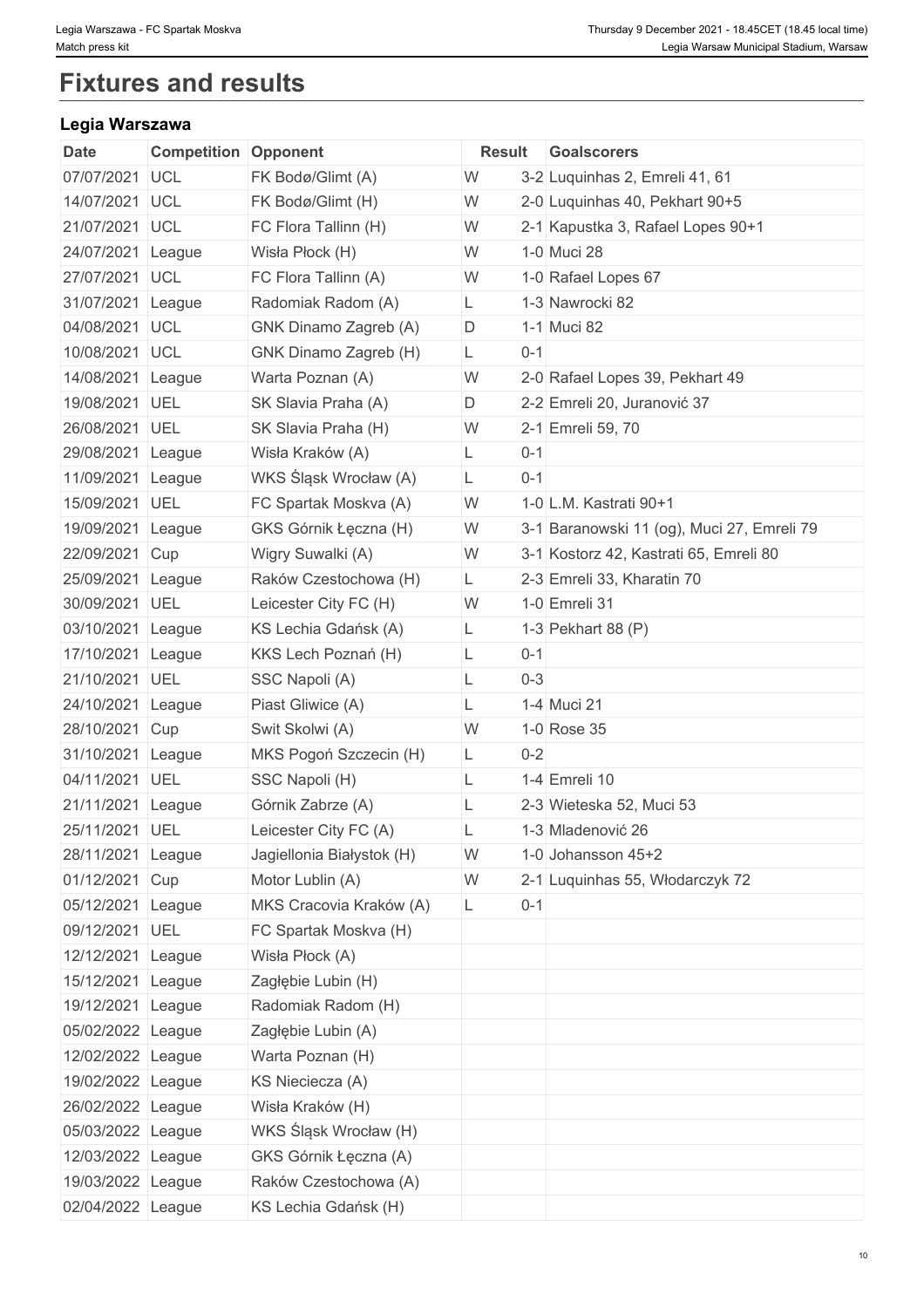# **Fixtures and results**

# **Legia Warszawa**

| Date              | <b>Competition Opponent</b> |                           | Result |         | <b>Goalscorers</b>                         |
|-------------------|-----------------------------|---------------------------|--------|---------|--------------------------------------------|
| 07/07/2021 UCL    |                             | FK Bodø/Glimt (A)         | W      |         | 3-2 Luquinhas 2, Emreli 41, 61             |
| 14/07/2021 UCL    |                             | FK Bodø/Glimt (H)         | W      |         | 2-0 Luquinhas 40, Pekhart 90+5             |
| 21/07/2021 UCL    |                             | FC Flora Tallinn (H)      | W      |         | 2-1 Kapustka 3, Rafael Lopes 90+1          |
| 24/07/2021 League |                             | Wisła Płock (H)           | W      |         | 1-0 Muci 28                                |
| 27/07/2021 UCL    |                             | FC Flora Tallinn (A)      | W      |         | 1-0 Rafael Lopes 67                        |
| 31/07/2021 League |                             | Radomiak Radom (A)        | L      |         | 1-3 Nawrocki 82                            |
| 04/08/2021 UCL    |                             | GNK Dinamo Zagreb (A)     | D      |         | 1-1 Muci 82                                |
| 10/08/2021 UCL    |                             | GNK Dinamo Zagreb (H)     | L.     | $0 - 1$ |                                            |
| 14/08/2021 League |                             | Warta Poznan (A)          | W      |         | 2-0 Rafael Lopes 39, Pekhart 49            |
| 19/08/2021 UEL    |                             | SK Slavia Praha (A)       | D      |         | 2-2 Emreli 20, Juranović 37                |
| 26/08/2021 UEL    |                             | SK Slavia Praha (H)       | W      |         | 2-1 Emreli 59, 70                          |
| 29/08/2021 League |                             | Wisła Kraków (A)          | L.     | $0 - 1$ |                                            |
| 11/09/2021 League |                             | WKS Śląsk Wrocław (A)     | L      | $0 - 1$ |                                            |
| 15/09/2021 UEL    |                             | FC Spartak Moskva (A)     | W      |         | 1-0 L.M. Kastrati 90+1                     |
| 19/09/2021        | League                      | GKS Górnik Łęczna (H)     | W      |         | 3-1 Baranowski 11 (og), Muci 27, Emreli 79 |
| 22/09/2021 Cup    |                             | Wigry Suwalki (A)         | W      |         | 3-1 Kostorz 42, Kastrati 65, Emreli 80     |
| 25/09/2021 League |                             | Raków Czestochowa (H)     | L.     |         | 2-3 Emreli 33, Kharatin 70                 |
| 30/09/2021 UEL    |                             | Leicester City FC (H)     | W      |         | 1-0 Emreli 31                              |
| 03/10/2021 League |                             | KS Lechia Gdańsk (A)      | L.     |         | 1-3 Pekhart 88 (P)                         |
| 17/10/2021 League |                             | KKS Lech Poznań (H)       | L      | $0 - 1$ |                                            |
| 21/10/2021 UEL    |                             | SSC Napoli (A)            | L      | $0 - 3$ |                                            |
| 24/10/2021 League |                             | Piast Gliwice (A)         | L      |         | 1-4 Muci 21                                |
| 28/10/2021 Cup    |                             | Swit Skolwi (A)           | W      |         | 1-0 Rose 35                                |
| 31/10/2021 League |                             | MKS Pogoń Szczecin (H)    | L.     | $0 - 2$ |                                            |
| 04/11/2021 UEL    |                             | SSC Napoli (H)            | L.     |         | 1-4 Emreli 10                              |
| 21/11/2021 League |                             | Górnik Zabrze (A)         |        |         | 2-3 Wieteska 52, Muci 53                   |
| 25/11/2021 UEL    |                             | Leicester City FC (A)     |        |         | 1-3 Mladenović 26                          |
| 28/11/2021 League |                             | Jagiellonia Białystok (H) | W      |         | 1-0 Johansson 45+2                         |
| 01/12/2021 Cup    |                             | Motor Lublin (A)          | W      |         | 2-1 Luquinhas 55, Włodarczyk 72            |
| 05/12/2021 League |                             | MKS Cracovia Kraków (A)   | L.     | $0 - 1$ |                                            |
| 09/12/2021 UEL    |                             | FC Spartak Moskva (H)     |        |         |                                            |
| 12/12/2021 League |                             | Wisła Płock (A)           |        |         |                                            |
| 15/12/2021 League |                             | Zagłębie Lubin (H)        |        |         |                                            |
| 19/12/2021 League |                             | Radomiak Radom (H)        |        |         |                                            |
| 05/02/2022 League |                             | Zagłębie Lubin (A)        |        |         |                                            |
| 12/02/2022 League |                             | Warta Poznan (H)          |        |         |                                            |
| 19/02/2022 League |                             | KS Nieciecza (A)          |        |         |                                            |
| 26/02/2022 League |                             | Wisła Kraków (H)          |        |         |                                            |
| 05/03/2022 League |                             | WKS Śląsk Wrocław (H)     |        |         |                                            |
| 12/03/2022 League |                             | GKS Górnik Łęczna (A)     |        |         |                                            |
| 19/03/2022 League |                             | Raków Czestochowa (A)     |        |         |                                            |
| 02/04/2022 League |                             | KS Lechia Gdańsk (H)      |        |         |                                            |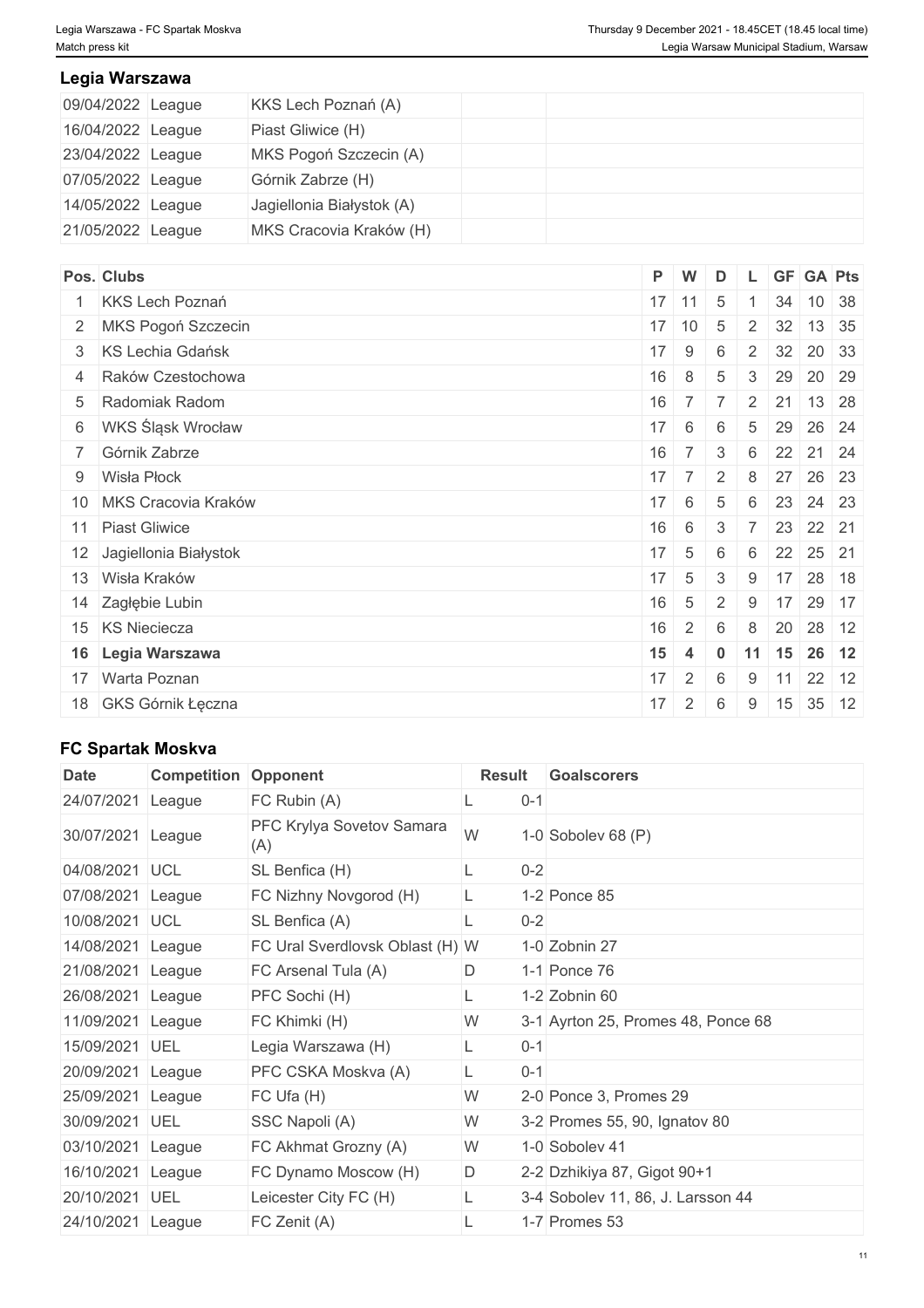# **Legia Warszawa**

| 09/04/2022 League | KKS Lech Poznań (A)       |  |
|-------------------|---------------------------|--|
| 16/04/2022 League | Piast Gliwice (H)         |  |
| 23/04/2022 League | MKS Pogoń Szczecin (A)    |  |
| 07/05/2022 League | Górnik Zabrze (H)         |  |
| 14/05/2022 League | Jagiellonia Białystok (A) |  |
| 21/05/2022 League | MKS Cracovia Kraków (H)   |  |

| Pos. Clubs               | P W                           |                 | D               |                |    | L GF GA Pts          |       |
|--------------------------|-------------------------------|-----------------|-----------------|----------------|----|----------------------|-------|
| 1 KKS Lech Poznań        |                               | $17$ 11         | 5               |                |    | 34 10 38             |       |
| 2 MKS Pogoń Szczecin     |                               | $17 \mid 10$    | $5\phantom{.0}$ |                |    | 2 32 13 35           |       |
| 3 KS Lechia Gdańsk       | $17 \mid 9$                   |                 | 6               |                |    | 2 32 20 33           |       |
| 4 Raków Czestochowa      | 16                            | 8               | 5               | $\mathcal{S}$  | 29 | 20 29                |       |
| 5 Radomiak Radom         | 16                            | $\overline{7}$  |                 | $\overline{2}$ | 21 |                      | 13 28 |
| 6 WKS Śląsk Wrocław      | $17 \mid 6$                   |                 | 6               | 5              | 29 |                      | 26 24 |
| 7 Górnik Zabrze          | 16                            | $\overline{7}$  | $\mathbf{3}$    | 6              |    | 22 21 24             |       |
| 9 Wisła Płock            | $17 \overline{\phantom{0}}$ 7 |                 | $\overline{2}$  | 8              |    | 27 26 23             |       |
| 10 MKS Cracovia Kraków   | 17                            | 6               | 5               | 6              |    | 23 24 23             |       |
| 11 Piast Gliwice         | 16                            | 6               | 3               | 7 <sup>1</sup> |    | 23 22 21             |       |
| 12 Jagiellonia Białystok | $17 \quad 5$                  |                 | 6               | 6              |    | 22 25 21             |       |
| 13 Wisła Kraków          | $17 \mid 5$                   |                 | 3               | 9              |    | 17 28 18             |       |
| 14 Zagłębie Lubin        | 16                            | $5\overline{)}$ | 2               | 9              | 17 | 29 17                |       |
| 15 KS Nieciecza          | 16                            | $2^{\circ}$     | 6               | 8              | 20 | 28 12                |       |
| 16 Legia Warszawa        | 15                            | $\overline{4}$  | $\mathbf 0$     |                |    | $11$ 15 26 12        |       |
| 17 Warta Poznan          | 17                            | 2 <sup>1</sup>  | 6               | 9              | 11 | $22$ 12              |       |
| 18 GKS Górnik Łęczna     | 17                            | $\overline{2}$  | 6               | 9              |    | $15 \mid 35 \mid 12$ |       |

# **FC Spartak Moskva**

| FC Rubin (A)<br>$0 - 1$<br>24/07/2021<br>League<br>PFC Krylya Sovetov Samara<br>W<br>30/07/2021 League<br>1-0 Sobolev 68 $(P)$<br>(A)<br>$0 - 2$<br>04/08/2021<br>SL Benfica (H)<br><b>UCL</b><br>1-2 Ponce 85<br>07/08/2021 League<br>FC Nizhny Novgorod (H)<br>$0-2$<br>10/08/2021<br>SL Benfica (A)<br><b>UCL</b><br>1-0 Zobnin 27<br>14/08/2021<br>FC Ural Sverdlovsk Oblast (H) W<br>League<br>21/08/2021<br>1-1 Ponce 76<br>FC Arsenal Tula (A)<br>D<br>League<br>26/08/2021<br>PFC Sochi (H)<br>$1-2$ Zobnin 60<br>League<br>W<br>11/09/2021<br>FC Khimki (H)<br>3-1 Ayrton 25, Promes 48, Ponce 68<br>League<br>15/09/2021<br>UEL<br>Legia Warszawa (H)<br>$0 - 1$<br>$0 - 1$<br>20/09/2021 League<br>PFC CSKA Moskva (A)<br>L<br>W<br>25/09/2021 League<br>FC Ufa(H)<br>2-0 Ponce 3, Promes 29<br>W<br>30/09/2021<br>SSC Napoli (A)<br>UEL<br>3-2 Promes 55, 90, Ignatov 80<br>W<br>1-0 Sobolev 41<br>03/10/2021 League<br>FC Akhmat Grozny (A)<br>D<br>16/10/2021 League<br>FC Dynamo Moscow (H)<br>2-2 Dzhikiya 87, Gigot 90+1<br>20/10/2021<br>UEL<br>Leicester City FC (H)<br>3-4 Sobolev 11, 86, J. Larsson 44<br>24/10/2021 League<br>1-7 Promes 53<br>FC Zenit (A) | <b>Date</b> | <b>Competition Opponent</b> | Result | <b>Goalscorers</b> |
|------------------------------------------------------------------------------------------------------------------------------------------------------------------------------------------------------------------------------------------------------------------------------------------------------------------------------------------------------------------------------------------------------------------------------------------------------------------------------------------------------------------------------------------------------------------------------------------------------------------------------------------------------------------------------------------------------------------------------------------------------------------------------------------------------------------------------------------------------------------------------------------------------------------------------------------------------------------------------------------------------------------------------------------------------------------------------------------------------------------------------------------------------------------------------------|-------------|-----------------------------|--------|--------------------|
|                                                                                                                                                                                                                                                                                                                                                                                                                                                                                                                                                                                                                                                                                                                                                                                                                                                                                                                                                                                                                                                                                                                                                                                    |             |                             |        |                    |
|                                                                                                                                                                                                                                                                                                                                                                                                                                                                                                                                                                                                                                                                                                                                                                                                                                                                                                                                                                                                                                                                                                                                                                                    |             |                             |        |                    |
|                                                                                                                                                                                                                                                                                                                                                                                                                                                                                                                                                                                                                                                                                                                                                                                                                                                                                                                                                                                                                                                                                                                                                                                    |             |                             |        |                    |
|                                                                                                                                                                                                                                                                                                                                                                                                                                                                                                                                                                                                                                                                                                                                                                                                                                                                                                                                                                                                                                                                                                                                                                                    |             |                             |        |                    |
|                                                                                                                                                                                                                                                                                                                                                                                                                                                                                                                                                                                                                                                                                                                                                                                                                                                                                                                                                                                                                                                                                                                                                                                    |             |                             |        |                    |
|                                                                                                                                                                                                                                                                                                                                                                                                                                                                                                                                                                                                                                                                                                                                                                                                                                                                                                                                                                                                                                                                                                                                                                                    |             |                             |        |                    |
|                                                                                                                                                                                                                                                                                                                                                                                                                                                                                                                                                                                                                                                                                                                                                                                                                                                                                                                                                                                                                                                                                                                                                                                    |             |                             |        |                    |
|                                                                                                                                                                                                                                                                                                                                                                                                                                                                                                                                                                                                                                                                                                                                                                                                                                                                                                                                                                                                                                                                                                                                                                                    |             |                             |        |                    |
|                                                                                                                                                                                                                                                                                                                                                                                                                                                                                                                                                                                                                                                                                                                                                                                                                                                                                                                                                                                                                                                                                                                                                                                    |             |                             |        |                    |
|                                                                                                                                                                                                                                                                                                                                                                                                                                                                                                                                                                                                                                                                                                                                                                                                                                                                                                                                                                                                                                                                                                                                                                                    |             |                             |        |                    |
|                                                                                                                                                                                                                                                                                                                                                                                                                                                                                                                                                                                                                                                                                                                                                                                                                                                                                                                                                                                                                                                                                                                                                                                    |             |                             |        |                    |
|                                                                                                                                                                                                                                                                                                                                                                                                                                                                                                                                                                                                                                                                                                                                                                                                                                                                                                                                                                                                                                                                                                                                                                                    |             |                             |        |                    |
|                                                                                                                                                                                                                                                                                                                                                                                                                                                                                                                                                                                                                                                                                                                                                                                                                                                                                                                                                                                                                                                                                                                                                                                    |             |                             |        |                    |
|                                                                                                                                                                                                                                                                                                                                                                                                                                                                                                                                                                                                                                                                                                                                                                                                                                                                                                                                                                                                                                                                                                                                                                                    |             |                             |        |                    |
|                                                                                                                                                                                                                                                                                                                                                                                                                                                                                                                                                                                                                                                                                                                                                                                                                                                                                                                                                                                                                                                                                                                                                                                    |             |                             |        |                    |
|                                                                                                                                                                                                                                                                                                                                                                                                                                                                                                                                                                                                                                                                                                                                                                                                                                                                                                                                                                                                                                                                                                                                                                                    |             |                             |        |                    |
|                                                                                                                                                                                                                                                                                                                                                                                                                                                                                                                                                                                                                                                                                                                                                                                                                                                                                                                                                                                                                                                                                                                                                                                    |             |                             |        |                    |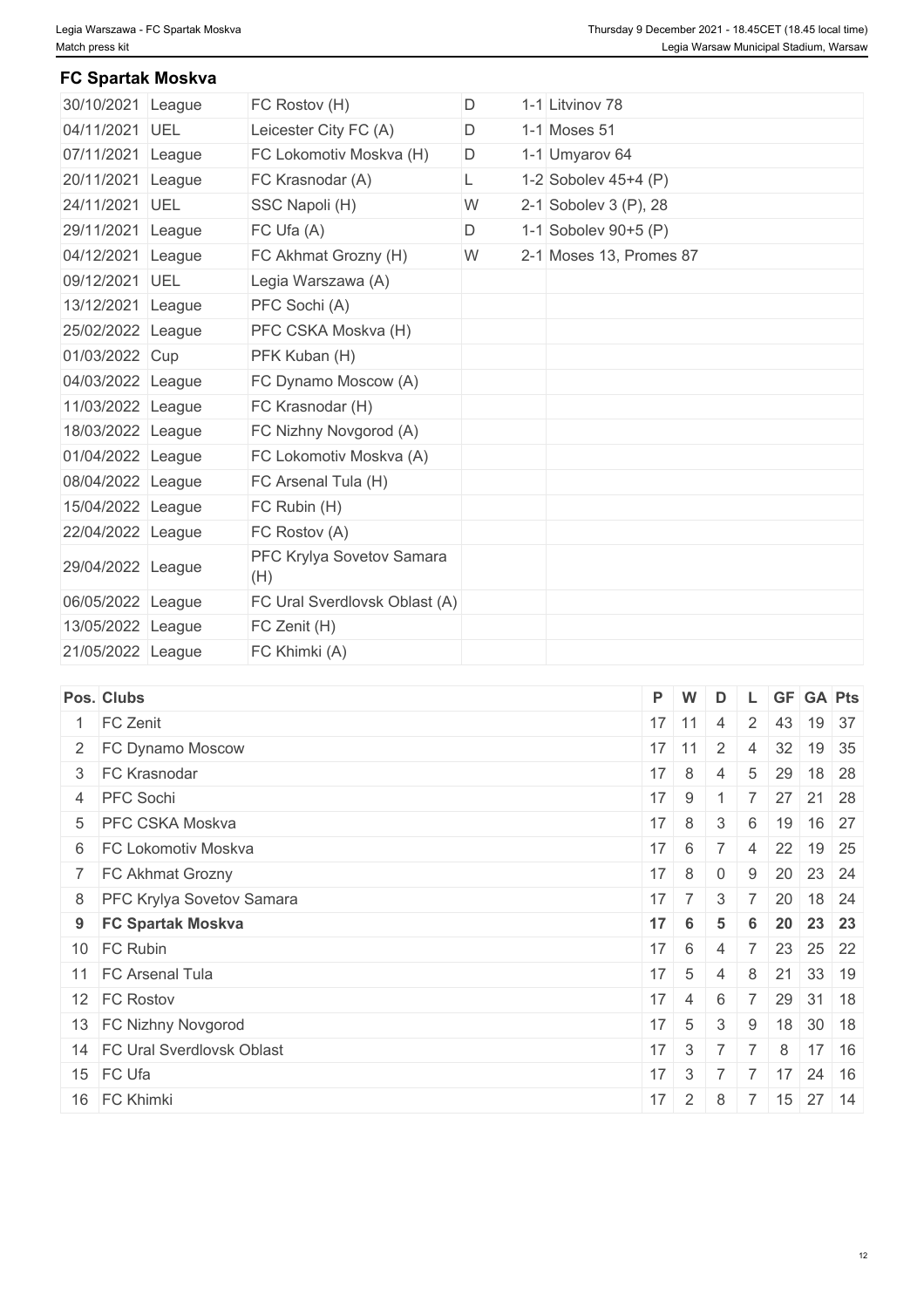# **FC Spartak Moskva**

| 30/10/2021 League |        | FC Rostov (H)                    | D | 1-1 Litvinov 78          |  |
|-------------------|--------|----------------------------------|---|--------------------------|--|
| 04/11/2021 UEL    |        | Leicester City FC (A)            | D | 1-1 Moses 51             |  |
| 07/11/2021 League |        | FC Lokomotiv Moskva (H)          | D | 1-1 Umyarov 64           |  |
| 20/11/2021        | League | FC Krasnodar (A)                 | L | 1-2 Sobolev $45+4$ (P)   |  |
| 24/11/2021 UEL    |        | SSC Napoli (H)                   | W | 2-1 Sobolev 3 $(P)$ , 28 |  |
| 29/11/2021 League |        | FC Ufa (A)                       | D | 1-1 Sobolev 90+5 (P)     |  |
| 04/12/2021 League |        | FC Akhmat Grozny (H)             | W | 2-1 Moses 13, Promes 87  |  |
| 09/12/2021 UEL    |        | Legia Warszawa (A)               |   |                          |  |
| 13/12/2021 League |        | PFC Sochi (A)                    |   |                          |  |
| 25/02/2022 League |        | PFC CSKA Moskva (H)              |   |                          |  |
| 01/03/2022 Cup    |        | PFK Kuban (H)                    |   |                          |  |
| 04/03/2022 League |        | FC Dynamo Moscow (A)             |   |                          |  |
| 11/03/2022 League |        | FC Krasnodar (H)                 |   |                          |  |
| 18/03/2022 League |        | FC Nizhny Novgorod (A)           |   |                          |  |
| 01/04/2022 League |        | FC Lokomotiv Moskva (A)          |   |                          |  |
| 08/04/2022 League |        | FC Arsenal Tula (H)              |   |                          |  |
| 15/04/2022 League |        | FC Rubin (H)                     |   |                          |  |
| 22/04/2022 League |        | FC Rostov (A)                    |   |                          |  |
| 29/04/2022 League |        | PFC Krylya Sovetov Samara<br>(H) |   |                          |  |
| 06/05/2022 League |        | FC Ural Sverdlovsk Oblast (A)    |   |                          |  |
| 13/05/2022 League |        | FC Zenit (H)                     |   |                          |  |
| 21/05/2022 League |        | FC Khimki (A)                    |   |                          |  |
|                   |        |                                  |   |                          |  |

| Pos. Clubs                   | P W          |                              | D              |                |              | L GF GA Pts                                       |  |
|------------------------------|--------------|------------------------------|----------------|----------------|--------------|---------------------------------------------------|--|
| 1 FC Zenit                   | $17$ 11      |                              | $\overline{4}$ |                |              | 2 43 19 37                                        |  |
| 2 FC Dynamo Moscow           | $17$ 11      |                              | 2              | $\overline{4}$ | 32           | 19 35                                             |  |
| 3 FC Krasnodar               |              | $17 \mid 8 \mid$             | $\overline{4}$ |                | $5 \quad 29$ | 18 28                                             |  |
| 4 PFC Sochi                  |              | $17$ 9 1                     |                |                |              | 7 27 21 28                                        |  |
| 5 PFC CSKA Moskva            |              | $17 \mid 8 \mid$             | 3 <sup>1</sup> |                |              | 6 19 16 27                                        |  |
| 6 FC Lokomotiv Moskva        |              |                              |                |                |              | $17 \mid 6 \mid 7 \mid 4 \mid 22 \mid 19 \mid 25$ |  |
| 7 FC Akhmat Grozny           | $17 \quad 8$ |                              | $\overline{0}$ | 9              |              | 20 23 24                                          |  |
| 8 PFC Krylya Sovetov Samara  |              | $17 \mid 7 \mid$             | -3             | $-7$           |              | $20$ 18 24                                        |  |
| 9 FC Spartak Moskva          | $17 \quad 6$ |                              | 5              | 6              |              | 20 23 23                                          |  |
| 10 FC Rubin                  |              | $17 \quad 6$                 | $\overline{4}$ |                |              | 7 23 25 22                                        |  |
| 11 FC Arsenal Tula           | $17 \quad 5$ |                              | $\overline{4}$ | 8              |              | 21 33 19                                          |  |
| 12 FC Rostov                 |              | $17 \quad 4$                 | 6              |                |              | 7 29 31 18                                        |  |
| 13 FC Nizhny Novgorod        | $17 \mid 5$  |                              | 3 <sup>°</sup> | 9              |              | $18$ 30 18                                        |  |
| 14 FC Ural Sverdlovsk Oblast | $17 \quad 3$ |                              | 77             |                | 8            | $17 \mid 16$                                      |  |
| 15 FC Ufa                    |              | $17 \quad 3 \quad 7 \quad 7$ |                |                | 17           | $24 \mid 16$                                      |  |
| 16 FC Khimki                 | 17           | $2 \mid 8$                   |                |                |              | 7 15 27 14                                        |  |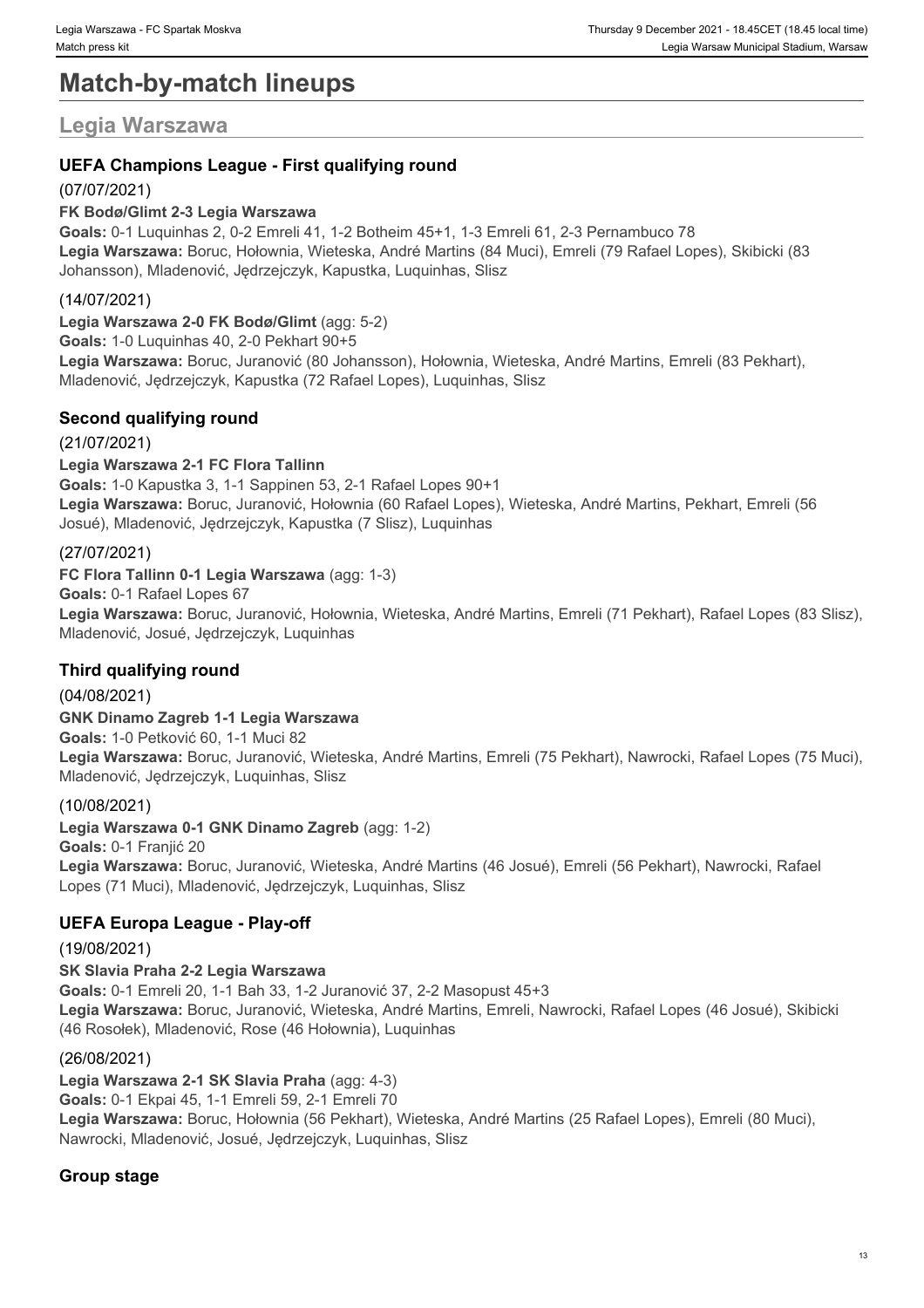# **Match-by-match lineups**

# **Legia Warszawa**

# **UEFA Champions League - First qualifying round**

# (07/07/2021)

# **FK Bodø/Glimt 2-3 Legia Warszawa**

**Goals:** 0-1 Luquinhas 2, 0-2 Emreli 41, 1-2 Botheim 45+1, 1-3 Emreli 61, 2-3 Pernambuco 78 **Legia Warszawa:** Boruc, Hołownia, Wieteska, André Martins (84 Muci), Emreli (79 Rafael Lopes), Skibicki (83 Johansson), Mladenović, Jędrzejczyk, Kapustka, Luquinhas, Slisz

# (14/07/2021)

**Legia Warszawa 2-0 FK Bodø/Glimt** (agg: 5-2) **Goals:** 1-0 Luquinhas 40, 2-0 Pekhart 90+5 **Legia Warszawa:** Boruc, Juranović (80 Johansson), Hołownia, Wieteska, André Martins, Emreli (83 Pekhart), Mladenović, Jędrzejczyk, Kapustka (72 Rafael Lopes), Luquinhas, Slisz

# **Second qualifying round**

# (21/07/2021)

**Legia Warszawa 2-1 FC Flora Tallinn Goals:** 1-0 Kapustka 3, 1-1 Sappinen 53, 2-1 Rafael Lopes 90+1 **Legia Warszawa:** Boruc, Juranović, Hołownia (60 Rafael Lopes), Wieteska, André Martins, Pekhart, Emreli (56 Josué), Mladenović, Jędrzejczyk, Kapustka (7 Slisz), Luquinhas

# (27/07/2021)

**FC Flora Tallinn 0-1 Legia Warszawa** (agg: 1-3)

**Goals:** 0-1 Rafael Lopes 67

**Legia Warszawa:** Boruc, Juranović, Hołownia, Wieteska, André Martins, Emreli (71 Pekhart), Rafael Lopes (83 Slisz), Mladenović, Josué, Jędrzejczyk, Luquinhas

# **Third qualifying round**

(04/08/2021) **GNK Dinamo Zagreb 1-1 Legia Warszawa Goals:** 1-0 Petković 60, 1-1 Muci 82 **Legia Warszawa:** Boruc, Juranović, Wieteska, André Martins, Emreli (75 Pekhart), Nawrocki, Rafael Lopes (75 Muci), Mladenović, Jędrzejczyk, Luquinhas, Slisz

# (10/08/2021)

**Legia Warszawa 0-1 GNK Dinamo Zagreb** (agg: 1-2) **Goals:** 0-1 Franjić 20 **Legia Warszawa:** Boruc, Juranović, Wieteska, André Martins (46 Josué), Emreli (56 Pekhart), Nawrocki, Rafael Lopes (71 Muci), Mladenović, Jędrzejczyk, Luquinhas, Slisz

# **UEFA Europa League - Play-off**

(19/08/2021) **SK Slavia Praha 2-2 Legia Warszawa Goals:** 0-1 Emreli 20, 1-1 Bah 33, 1-2 Juranović 37, 2-2 Masopust 45+3 **Legia Warszawa:** Boruc, Juranović, Wieteska, André Martins, Emreli, Nawrocki, Rafael Lopes (46 Josué), Skibicki (46 Rosołek), Mladenović, Rose (46 Hołownia), Luquinhas

# (26/08/2021)

**Legia Warszawa 2-1 SK Slavia Praha** (agg: 4-3) **Goals:** 0-1 Ekpai 45, 1-1 Emreli 59, 2-1 Emreli 70 **Legia Warszawa:** Boruc, Hołownia (56 Pekhart), Wieteska, André Martins (25 Rafael Lopes), Emreli (80 Muci), Nawrocki, Mladenović, Josué, Jędrzejczyk, Luquinhas, Slisz

# **Group stage**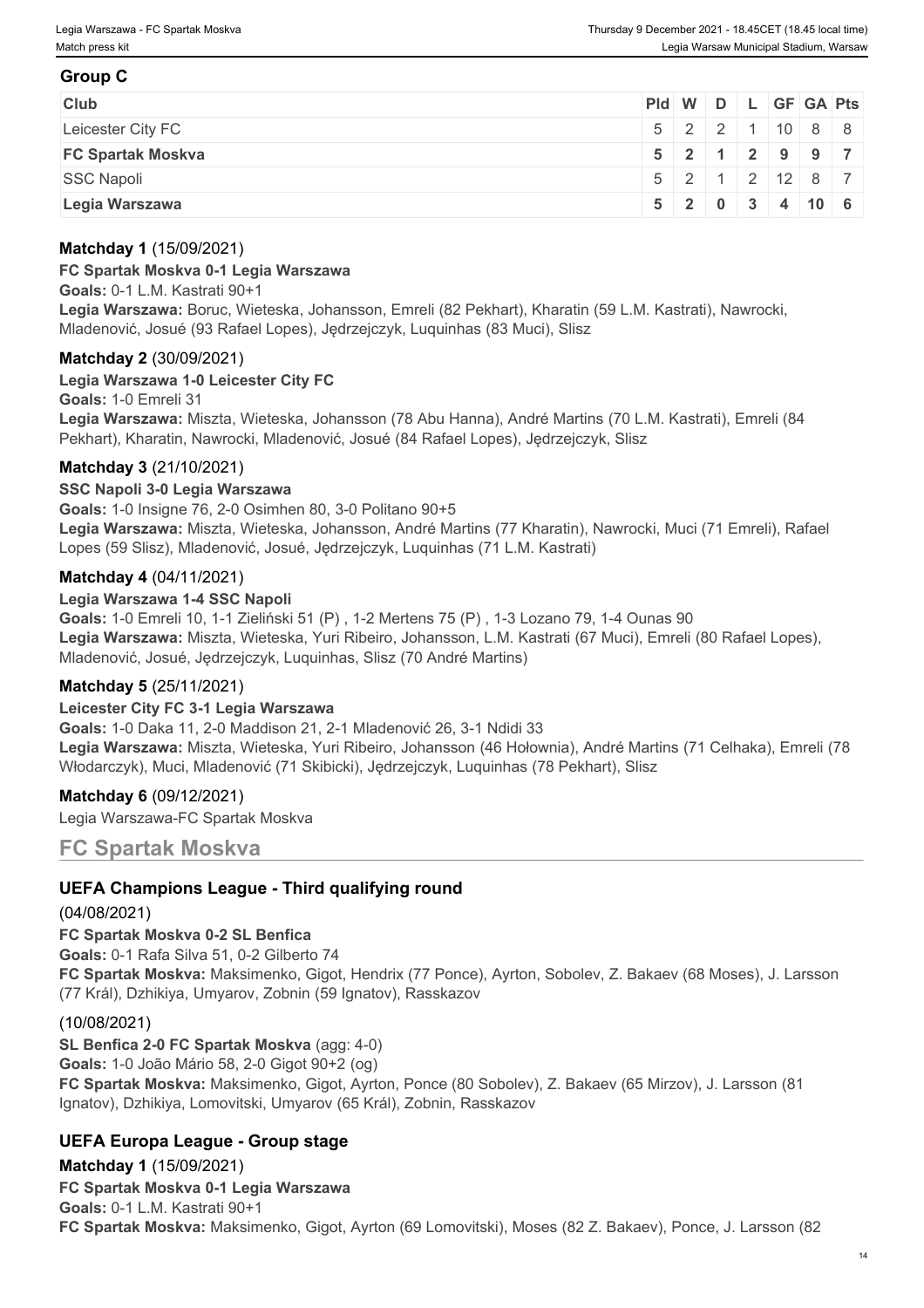# **Group C**

| <b>Club</b>              |  |  | Pid W D L GF GA Pts          |  |
|--------------------------|--|--|------------------------------|--|
| Leicester City FC        |  |  | $15$ 2 2 1 10 8 8            |  |
| <b>FC Spartak Moskva</b> |  |  | 5 2 1 2 9 9 7                |  |
| SSC Napoli               |  |  | 5 2 1 2 12 8 7               |  |
| Legia Warszawa           |  |  | $5$   2   0   3   4   10   6 |  |

#### **Matchday 1** (15/09/2021)

#### **FC Spartak Moskva 0-1 Legia Warszawa**

**Goals:** 0-1 L.M. Kastrati 90+1 **Legia Warszawa:** Boruc, Wieteska, Johansson, Emreli (82 Pekhart), Kharatin (59 L.M. Kastrati), Nawrocki, Mladenović, Josué (93 Rafael Lopes), Jędrzejczyk, Luquinhas (83 Muci), Slisz

#### **Matchday 2** (30/09/2021)

**Legia Warszawa 1-0 Leicester City FC**

**Goals:** 1-0 Emreli 31

**Legia Warszawa:** Miszta, Wieteska, Johansson (78 Abu Hanna), André Martins (70 L.M. Kastrati), Emreli (84 Pekhart), Kharatin, Nawrocki, Mladenović, Josué (84 Rafael Lopes), Jędrzejczyk, Slisz

#### **Matchday 3** (21/10/2021)

#### **SSC Napoli 3-0 Legia Warszawa**

**Goals:** 1-0 Insigne 76, 2-0 Osimhen 80, 3-0 Politano 90+5 **Legia Warszawa:** Miszta, Wieteska, Johansson, André Martins (77 Kharatin), Nawrocki, Muci (71 Emreli), Rafael Lopes (59 Slisz), Mladenović, Josué, Jędrzejczyk, Luquinhas (71 L.M. Kastrati)

#### **Matchday 4** (04/11/2021)

#### **Legia Warszawa 1-4 SSC Napoli**

**Goals:** 1-0 Emreli 10, 1-1 Zieliński 51 (P) , 1-2 Mertens 75 (P) , 1-3 Lozano 79, 1-4 Ounas 90 **Legia Warszawa:** Miszta, Wieteska, Yuri Ribeiro, Johansson, L.M. Kastrati (67 Muci), Emreli (80 Rafael Lopes), Mladenović, Josué, Jędrzejczyk, Luquinhas, Slisz (70 André Martins)

#### **Matchday 5** (25/11/2021)

#### **Leicester City FC 3-1 Legia Warszawa**

**Goals:** 1-0 Daka 11, 2-0 Maddison 21, 2-1 Mladenović 26, 3-1 Ndidi 33 **Legia Warszawa:** Miszta, Wieteska, Yuri Ribeiro, Johansson (46 Hołownia), André Martins (71 Celhaka), Emreli (78 Włodarczyk), Muci, Mladenović (71 Skibicki), Jędrzejczyk, Luquinhas (78 Pekhart), Slisz

#### **Matchday 6** (09/12/2021)

Legia Warszawa-FC Spartak Moskva

# **FC Spartak Moskva**

# **UEFA Champions League - Third qualifying round**

#### (04/08/2021)

**FC Spartak Moskva 0-2 SL Benfica Goals:** 0-1 Rafa Silva 51, 0-2 Gilberto 74 **FC Spartak Moskva:** Maksimenko, Gigot, Hendrix (77 Ponce), Ayrton, Sobolev, Z. Bakaev (68 Moses), J. Larsson (77 Král), Dzhikiya, Umyarov, Zobnin (59 Ignatov), Rasskazov

#### (10/08/2021)

**SL Benfica 2-0 FC Spartak Moskva** (agg: 4-0)

**Goals:** 1-0 João Mário 58, 2-0 Gigot 90+2 (og) **FC Spartak Moskva:** Maksimenko, Gigot, Ayrton, Ponce (80 Sobolev), Z. Bakaev (65 Mirzov), J. Larsson (81 Ignatov), Dzhikiya, Lomovitski, Umyarov (65 Král), Zobnin, Rasskazov

# **UEFA Europa League - Group stage**

**Matchday 1** (15/09/2021) **FC Spartak Moskva 0-1 Legia Warszawa Goals:** 0-1 L.M. Kastrati 90+1 **FC Spartak Moskva:** Maksimenko, Gigot, Ayrton (69 Lomovitski), Moses (82 Z. Bakaev), Ponce, J. Larsson (82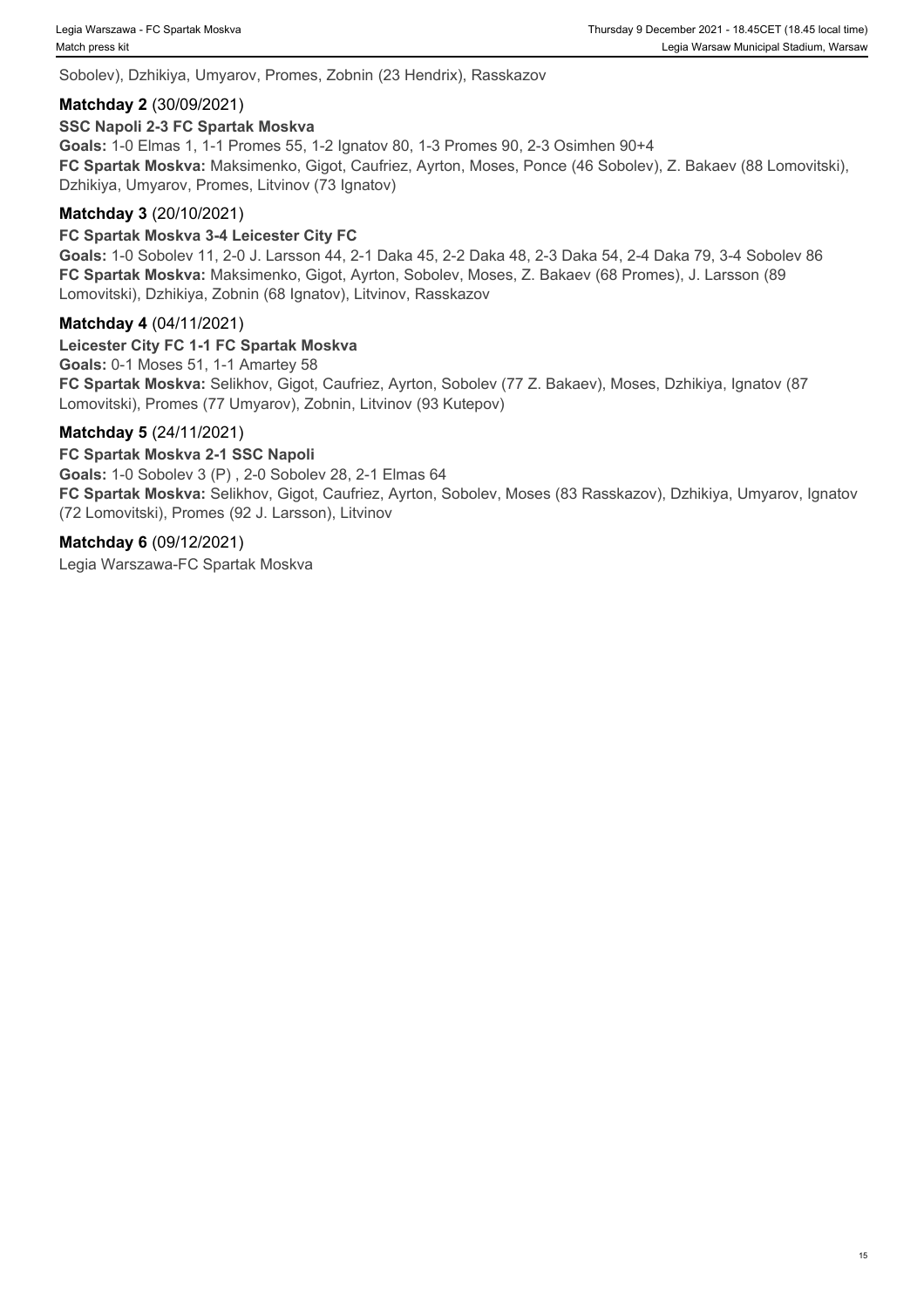Sobolev), Dzhikiya, Umyarov, Promes, Zobnin (23 Hendrix), Rasskazov

#### **Matchday 2** (30/09/2021)

#### **SSC Napoli 2-3 FC Spartak Moskva**

**Goals:** 1-0 Elmas 1, 1-1 Promes 55, 1-2 Ignatov 80, 1-3 Promes 90, 2-3 Osimhen 90+4 **FC Spartak Moskva:** Maksimenko, Gigot, Caufriez, Ayrton, Moses, Ponce (46 Sobolev), Z. Bakaev (88 Lomovitski), Dzhikiya, Umyarov, Promes, Litvinov (73 Ignatov)

#### **Matchday 3** (20/10/2021)

#### **FC Spartak Moskva 3-4 Leicester City FC**

**Goals:** 1-0 Sobolev 11, 2-0 J. Larsson 44, 2-1 Daka 45, 2-2 Daka 48, 2-3 Daka 54, 2-4 Daka 79, 3-4 Sobolev 86 **FC Spartak Moskva:** Maksimenko, Gigot, Ayrton, Sobolev, Moses, Z. Bakaev (68 Promes), J. Larsson (89 Lomovitski), Dzhikiya, Zobnin (68 Ignatov), Litvinov, Rasskazov

#### **Matchday 4** (04/11/2021)

# **Leicester City FC 1-1 FC Spartak Moskva**

**Goals:** 0-1 Moses 51, 1-1 Amartey 58 **FC Spartak Moskva:** Selikhov, Gigot, Caufriez, Ayrton, Sobolev (77 Z. Bakaev), Moses, Dzhikiya, Ignatov (87 Lomovitski), Promes (77 Umyarov), Zobnin, Litvinov (93 Kutepov)

#### **Matchday 5** (24/11/2021)

#### **FC Spartak Moskva 2-1 SSC Napoli**

**Goals:** 1-0 Sobolev 3 (P) , 2-0 Sobolev 28, 2-1 Elmas 64 **FC Spartak Moskva:** Selikhov, Gigot, Caufriez, Ayrton, Sobolev, Moses (83 Rasskazov), Dzhikiya, Umyarov, Ignatov (72 Lomovitski), Promes (92 J. Larsson), Litvinov

#### **Matchday 6** (09/12/2021)

Legia Warszawa-FC Spartak Moskva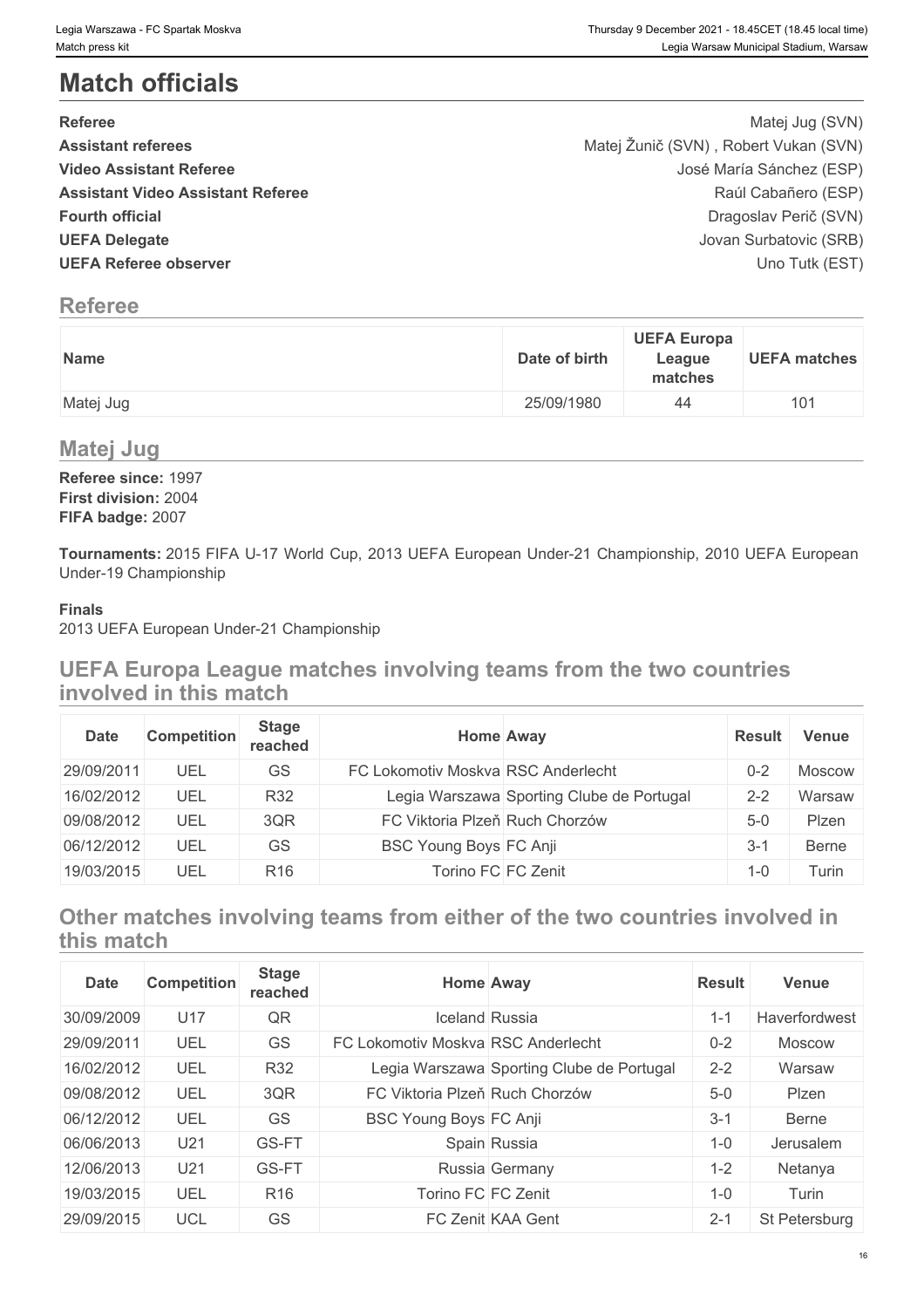# **Match officials**

| <b>Referee</b>                           | Matej Jug (SVN)                       |  |
|------------------------------------------|---------------------------------------|--|
| <b>Assistant referees</b>                | Matej Žunič (SVN), Robert Vukan (SVN) |  |
| <b>Video Assistant Referee</b>           | José María Sánchez (ESP)              |  |
| <b>Assistant Video Assistant Referee</b> | Raúl Cabañero (ESP)                   |  |
| <b>Fourth official</b>                   | Dragoslav Perič (SVN)                 |  |
| <b>UEFA Delegate</b>                     | Jovan Surbatovic (SRB)                |  |
| <b>UEFA Referee observer</b>             | Uno Tutk (EST)                        |  |

# **Referee**

| Name      | <b>UEFA Europa</b><br>Date of birth<br><b>UEFA matches</b><br>League<br>matches |
|-----------|---------------------------------------------------------------------------------|
| Matej Jug | 25/09/1980<br>44                                                                |

# **Matej Jug**

**Referee since:** 1997 **First division:** 2004 **FIFA badge:** 2007

**Tournaments:** 2015 FIFA U-17 World Cup, 2013 UEFA European Under-21 Championship, 2010 UEFA European Under-19 Championship

# **Finals**

2013 UEFA European Under-21 Championship

# **UEFA Europa League matches involving teams from the two countries involved in this match**

| <b>Date</b> | <b>Competition</b> | <b>Stage</b><br>reached | Home Away                          |                                           | <b>Result</b> | Venue        |
|-------------|--------------------|-------------------------|------------------------------------|-------------------------------------------|---------------|--------------|
| 29/09/2011  | UEL                | GS                      | FC Lokomotiv Moskva RSC Anderlecht |                                           | $0 - 2$       | Moscow       |
| 16/02/2012  | UEL                | R32                     |                                    | Legia Warszawa Sporting Clube de Portugal | $2 - 2$       | Warsaw       |
| 09/08/2012  | UEL                | 3QR                     | FC Viktoria Plzeň Ruch Chorzów     |                                           | $5-0$         | Plzen        |
| 06/12/2012  | UEL                | GS                      | <b>BSC Young Boys FC Anji</b>      |                                           | $3-1$         | <b>Berne</b> |
| 19/03/2015  | UEL                | R <sub>16</sub>         | Torino FC FC Zenit                 |                                           | $1 - 0$       | urin i       |

# **Other matches involving teams from either of the two countries involved in this match**

| <b>Date</b> | <b>Competition</b> | <b>Stage</b><br>reached |                                    | <b>Home Away</b>                          | <b>Result</b> | Venue         |
|-------------|--------------------|-------------------------|------------------------------------|-------------------------------------------|---------------|---------------|
| 30/09/2009  | U17                | QR                      |                                    | <b>Iceland Russia</b>                     | $1 - 1$       | Haverfordwest |
| 29/09/2011  | UEL                | <b>GS</b>               | FC Lokomotiv Moskva RSC Anderlecht |                                           | $0 - 2$       | <b>Moscow</b> |
| 16/02/2012  | UEL                | R32                     |                                    | Legia Warszawa Sporting Clube de Portugal | $2 - 2$       | Warsaw        |
| 09/08/2012  | UEL                | 3QR                     | FC Viktoria Plzeň Ruch Chorzów     |                                           | $5-0$         | Plzen         |
| 06/12/2012  | UEL                | GS                      | <b>BSC Young Boys FC Anji</b>      |                                           | $3 - 1$       | <b>Berne</b>  |
| 06/06/2013  | U <sub>21</sub>    | GS-FT                   |                                    | Spain Russia                              | $1 - 0$       | Jerusalem     |
| 12/06/2013  | U <sub>21</sub>    | GS-FT                   |                                    | Russia Germany                            | $1 - 2$       | Netanya       |
| 19/03/2015  | UEL                | R <sub>16</sub>         | Torino FC FC Zenit                 |                                           | $1 - 0$       | Turin         |
| 29/09/2015  | <b>UCL</b>         | GS                      |                                    | FC Zenit KAA Gent                         | $2 - 1$       | St Petersburg |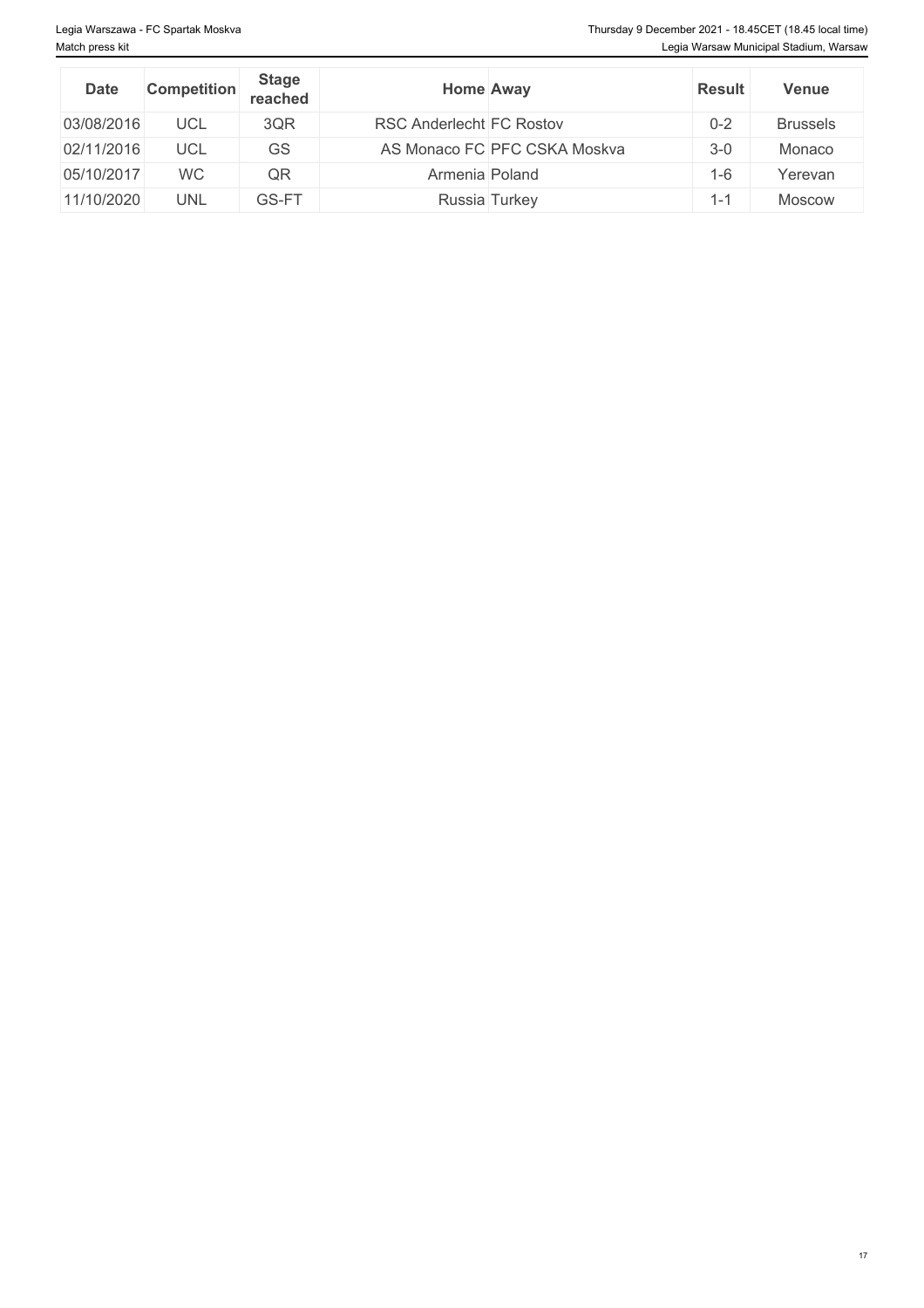| <b>Date</b> | <b>Competition</b> | <b>Stage</b><br>reached |                          | <b>Home Away</b>             | <b>Result</b> | <b>Venue</b>    |
|-------------|--------------------|-------------------------|--------------------------|------------------------------|---------------|-----------------|
| 03/08/2016  | UCL                | 3QR                     | RSC Anderlecht FC Rostov |                              | $0 - 2$       | <b>Brussels</b> |
| 02/11/2016  | UCL                | GS                      |                          | AS Monaco FC PFC CSKA Moskva | $3-0$         | Monaco          |
| 05/10/2017  | <b>WC</b>          | QR                      | Armenia Poland           |                              | $1 - 6$       | Yerevan         |
| 11/10/2020  | UNL                | GS-FT                   |                          | Russia Turkey                | -44<br>ı – I  | <b>Moscow</b>   |